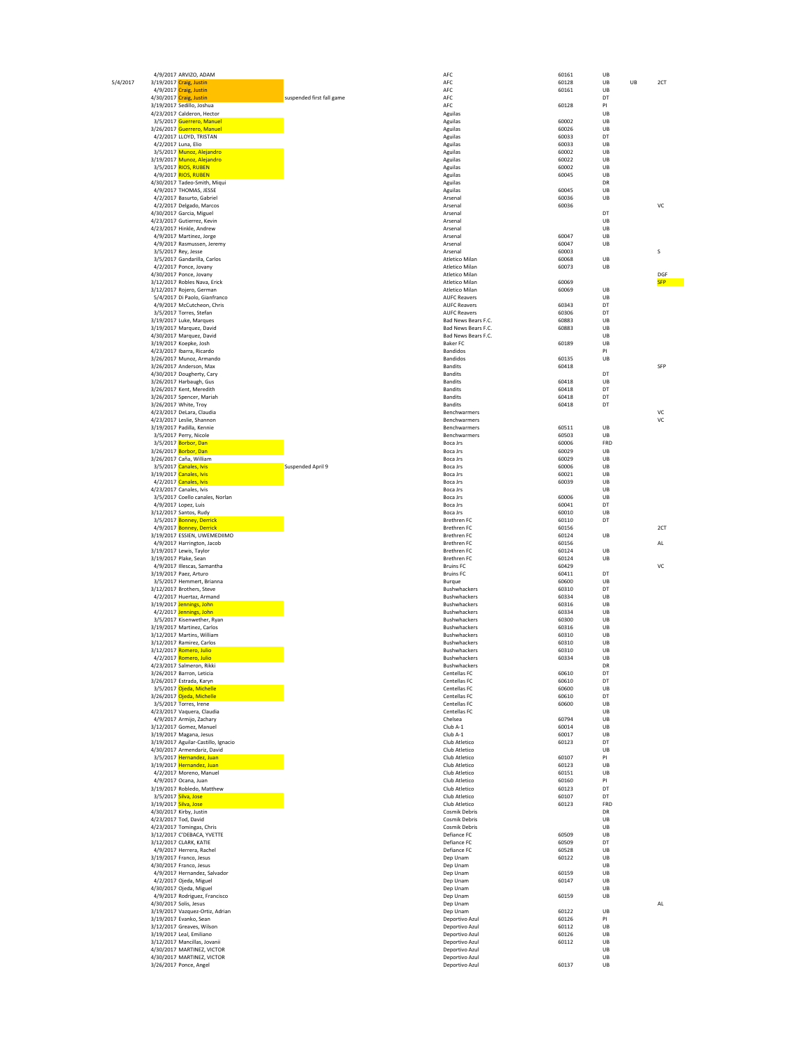|          |                       | 4/9/2017 ARVIZO, ADAM                                    |                           | AFC                              | 60161          | UB       |            |
|----------|-----------------------|----------------------------------------------------------|---------------------------|----------------------------------|----------------|----------|------------|
| 5/4/2017 |                       | 3/19/2017 Craig, Justin                                  |                           | AFC                              | 60128          | UB<br>UB | 2CT        |
|          |                       | 4/9/2017 Craig, Justin                                   |                           | AFC                              | 60161          | UB       |            |
|          |                       | 4/30/2017 Craig, Justin                                  | suspended first fall game | AFC                              |                | DT       |            |
|          |                       | 3/19/2017 Sedillo, Joshua                                |                           | AFC                              | 60128          | PI       |            |
|          |                       | 4/23/2017 Calderon, Hector                               |                           | Aguilas                          |                | UB       |            |
|          |                       | 3/5/2017 Guerrero, Manuel                                |                           | Aguilas                          | 60002          | UB       |            |
|          |                       | 3/26/2017 Guerrero, Manuel                               |                           | Aguilas                          | 60026          | UB       |            |
|          |                       | 4/2/2017 LLOYD, TRISTAN                                  |                           | Aguilas                          | 60033          | DT       |            |
|          |                       | 4/2/2017 Luna, Elio                                      |                           | Aguilas                          | 60033          | UB       |            |
|          |                       | 3/5/2017 Munoz, Alejandro<br>3/19/2017 Munoz, Alejandro  |                           | Aguilas                          | 60002          | UB       |            |
|          |                       | 3/5/2017 RIOS, RUBEN                                     |                           | Aguilas                          | 60022          | UB       |            |
|          |                       | 4/9/2017 RIOS, RUBEN                                     |                           | Aguilas                          | 60002<br>60045 | UB<br>UB |            |
|          |                       | 4/30/2017 Tadeo-Smith, Miqui                             |                           | Aguilas<br>Aguilas               |                | DR       |            |
|          |                       | 4/9/2017 THOMAS, JESSE                                   |                           | Aguilas                          | 60045          | UB       |            |
|          |                       | 4/2/2017 Basurto, Gabriel                                |                           | Arsenal                          | 60036          | UB       |            |
|          |                       | 4/2/2017 Delgado, Marcos                                 |                           | Arsenal                          | 60036          |          | VC         |
|          |                       | 4/30/2017 Garcia, Miguel                                 |                           | Arsenal                          |                | DT       |            |
|          |                       | 4/23/2017 Gutierrez, Kevin                               |                           | Arsenal                          |                | UB       |            |
|          |                       | 4/23/2017 Hinkle, Andrew                                 |                           | Arsenal                          |                | UB       |            |
|          |                       | 4/9/2017 Martinez, Jorge                                 |                           | Arsenal                          | 60047          | UB       |            |
|          |                       | 4/9/2017 Rasmussen, Jeremy                               |                           | Arsenal                          | 60047          | UB       |            |
|          |                       | 3/5/2017 Rey, Jesse                                      |                           | Arsenal                          | 60003          |          | S          |
|          |                       | 3/5/2017 Gandarilla, Carlos                              |                           | Atletico Milan                   | 60068          | UB       |            |
|          |                       | 4/2/2017 Ponce, Jovany                                   |                           | Atletico Milan                   | 60073          | UB       |            |
|          |                       | 4/30/2017 Ponce, Jovany                                  |                           | Atletico Milan                   |                |          | DGF        |
|          |                       | 3/12/2017 Robles Nava, Erick                             |                           | Atletico Milan                   | 60069          |          | <b>SFP</b> |
|          |                       | 3/12/2017 Rojero, German                                 |                           | Atletico Milan                   | 60069          | UB       |            |
|          |                       | 5/4/2017 Di Paolo, Gianfranco                            |                           | <b>AUFC Reavers</b>              |                | UB       |            |
|          |                       | 4/9/2017 McCutcheon, Chris                               |                           | <b>AUFC Reavers</b>              | 60343          | DT       |            |
|          |                       | 3/5/2017 Torres, Stefan                                  |                           | <b>AUFC Reavers</b>              | 60306          | DT       |            |
|          |                       | 3/19/2017 Luke, Marques                                  |                           | Bad News Bears F.C.              | 60883          | UB       |            |
|          |                       | 3/19/2017 Marquez, David                                 |                           | Bad News Bears F.C.              | 60883          | UB       |            |
|          |                       | 4/30/2017 Marquez, David                                 |                           | Bad News Bears F.C.              |                | UB       |            |
|          |                       | 3/19/2017 Koepke, Josh                                   |                           | <b>Baker FC</b>                  | 60189          | UB       |            |
|          |                       | 4/23/2017 Ibarra, Ricardo<br>3/26/2017 Munoz, Armando    |                           | Bandidos                         |                | PI       |            |
|          |                       |                                                          |                           | Bandidos                         | 60135          | UB       | SFP        |
|          |                       | 3/26/2017 Anderson, Max                                  |                           | Bandits                          | 60418          | DT       |            |
|          |                       | 4/30/2017 Dougherty, Cary                                |                           | <b>Bandits</b><br>Bandits        | 60418          | UB       |            |
|          |                       | 3/26/2017 Harbaugh, Gus<br>3/26/2017 Kent, Meredith      |                           | <b>Bandits</b>                   | 60418          | DT       |            |
|          |                       | 3/26/2017 Spencer, Mariah                                |                           | <b>Bandits</b>                   | 60418          | DT       |            |
|          |                       | 3/26/2017 White, Troy                                    |                           | <b>Bandits</b>                   | 60418          | DT       |            |
|          |                       | 4/23/2017 DeLara, Claudia                                |                           | Benchwarmers                     |                |          | VC         |
|          |                       | 4/23/2017 Leslie, Shannon                                |                           | Benchwarmers                     |                |          | VC         |
|          |                       | 3/19/2017 Padilla, Kennie                                |                           | Benchwarmers                     | 60511          | UB       |            |
|          |                       | 3/5/2017 Perry, Nicole                                   |                           | Benchwarmers                     | 60503          | UB       |            |
|          |                       | 3/5/2017 Borbor, Dan                                     |                           | Boca Jrs                         | 60006          | FRD      |            |
|          |                       | 3/26/2017 Borbor, Dan                                    |                           | Boca Jrs                         | 60029          | UB       |            |
|          |                       | 3/26/2017 Caña, William                                  |                           | Boca Jrs                         | 60029          | UB       |            |
|          |                       | 3/5/2017 Canales, Ivis                                   | Suspended April 9         | Boca Jrs                         | 60006          | UB       |            |
|          |                       | 3/19/2017 Canales, Ivis                                  |                           | Boca Jrs                         | 60021          | UB       |            |
|          |                       | 4/2/2017 Canales, Ivis                                   |                           | Boca Jrs                         | 60039          | UB       |            |
|          |                       | 4/23/2017 Canales, Ivis                                  |                           | Boca Jrs                         |                | UB       |            |
|          |                       | 3/5/2017 Coello canales, Norlan                          |                           | Boca Jrs                         | 60006          | UB       |            |
|          |                       | 4/9/2017 Lopez, Luis                                     |                           | Boca Jrs                         | 60041          | DT       |            |
|          |                       | 3/12/2017 Santos, Rudy                                   |                           | Boca Jrs                         | 60010          | UB       |            |
|          |                       | 3/5/2017 Bonney, Derrick                                 |                           | <b>Brethren FC</b>               | 60110          | DT       |            |
|          |                       | 4/9/2017 Bonney, Derrick                                 |                           | <b>Brethren FC</b>               | 60156          |          | 2CT        |
|          |                       | 3/19/2017 ESSIEN, UWEMEDIIMO                             |                           | Brethren FC                      | 60124          | UB       |            |
|          |                       | 4/9/2017 Harrington, Jacob                               |                           | Brethren FC                      | 60156          |          | AL         |
|          |                       | 3/19/2017 Lewis, Taylor                                  |                           | Brethren FC                      | 60124          | UB       |            |
|          |                       | 3/19/2017 Plake, Sean                                    |                           | Brethren FC                      | 60124          | UB       |            |
|          |                       | 4/9/2017 Illescas, Samantha                              |                           | <b>Bruins FC</b>                 | 60429          |          | VC         |
|          |                       | 3/19/2017 Paez, Arturo                                   |                           | <b>Bruins FC</b>                 | 60411          | DT       |            |
|          |                       | 3/5/2017 Hemmert, Brianna                                |                           | Burque                           | 60600          | UB       |            |
|          |                       | 3/12/2017 Brothers, Steve<br>4/2/2017 Huertaz, Armand    |                           | Bushwhackers                     | 60310          | DT       |            |
|          |                       | 3/19/2017 Jennings, John                                 |                           | Bushwhackers                     | 60334          | UB<br>UB |            |
|          |                       |                                                          |                           | Bushwhackers                     | 60316          | UB       |            |
|          |                       | 4/2/2017 Jennings, John                                  |                           | Bushwhackers<br>Bushwhackers     | 60334<br>60300 | UB       |            |
|          |                       | 3/5/2017 Kisenwether, Ryan<br>3/19/2017 Martinez, Carlos |                           | Bushwhackers                     | 60316          | UB       |            |
|          |                       | 3/12/2017 Martins, William                               |                           | Bushwhackers                     | 60310          | UB       |            |
|          |                       | 3/12/2017 Ramirez, Carlos                                |                           | Bushwhackers                     | 60310          | UB       |            |
|          |                       | 3/12/2017 Romero, Julio                                  |                           | <b>Bushwhackers</b>              | 60310          | UB       |            |
|          |                       | 4/2/2017 Romero, Julio                                   |                           | Bushwhackers                     | 60334          | UB       |            |
|          |                       | 4/23/2017 Salmeron, Rikki                                |                           | <b>Bushwhackers</b>              |                | υĸ       |            |
|          |                       | 3/26/2017 Barron, Leticia                                |                           | Centellas FC                     | 60610          | DT       |            |
|          |                       | 3/26/2017 Estrada, Karyn                                 |                           | Centellas FC                     | 60610          | DT       |            |
|          |                       | 3/5/2017 Ojeda, Michelle                                 |                           | Centellas FC                     | 60600          | UB       |            |
|          |                       | 3/26/2017 Ojeda, Michelle                                |                           | Centellas FC                     | 60610          | DT       |            |
|          |                       | 3/5/2017 Torres, Irene                                   |                           | Centellas FC                     | 60600          | UB       |            |
|          |                       | 4/23/2017 Vaquera, Claudia                               |                           | Centellas FC                     |                | UB       |            |
|          |                       | 4/9/2017 Armijo, Zachary                                 |                           | Chelsea                          | 60794          | UB       |            |
|          |                       | 3/12/2017 Gomez, Manuel                                  |                           | Club A-1                         | 60014          | UB       |            |
|          |                       | 3/19/2017 Magana, Jesus                                  |                           | Club A-1                         | 60017          | UB       |            |
|          |                       | 3/19/2017 Aguilar-Castillo, Ignacio                      |                           | Club Atletico                    | 60123          | DT       |            |
|          |                       | 4/30/2017 Armendariz, David                              |                           | Club Atletico                    |                | UB       |            |
|          |                       | 3/5/2017 Hernandez, Juan                                 |                           | Club Atletico                    | 60107          | PI       |            |
|          |                       | 3/19/2017 Hernandez, Juan                                |                           | Club Atletico                    | 60123          | UB       |            |
|          |                       | 4/2/2017 Moreno, Manuel                                  |                           | Club Atletico                    | 60151          | UB       |            |
|          |                       | 4/9/2017 Ocana, Juan                                     |                           | Club Atletico                    | 60160          | PI       |            |
|          |                       | 3/19/2017 Robledo, Matthew                               |                           | Club Atletico                    | 60123          | DT       |            |
|          |                       | 3/5/2017 Silva, Jose                                     |                           | Club Atletico                    | 60107          | DT       |            |
|          | 3/19/2017 Silva, Jose |                                                          |                           | Club Atletico                    | 60123          | FRD      |            |
|          |                       | 4/30/2017 Kirby, Justin                                  |                           | Cosmik Debris                    |                | DR       |            |
|          |                       | 4/23/2017 Tod, David                                     |                           | Cosmik Debris                    |                | UB       |            |
|          |                       | 4/23/2017 Tomingas, Chris                                |                           | Cosmik Debris                    |                | UB<br>UB |            |
|          |                       | 3/12/2017 C'DEBACA, YVETTE                               |                           | Defiance FC<br>Defiance FC       | 60509<br>60509 | DT       |            |
|          |                       | 3/12/2017 CLARK, KATIE                                   |                           | Defiance FC                      | 60528          | UB       |            |
|          |                       | 4/9/2017 Herrera, Rachel                                 |                           |                                  |                | UB       |            |
|          |                       | 3/19/2017 Franco, Jesus                                  |                           | Dep Unam                         | 60122          | UB       |            |
|          |                       | 4/30/2017 Franco, Jesus                                  |                           | Dep Unam                         | 60159          | UB       |            |
|          |                       | 4/9/2017 Hernandez, Salvador                             |                           | Dep Unam                         | 60147          | UB       |            |
|          |                       | 4/2/2017 Ojeda, Miguel<br>4/30/2017 Ojeda, Miguel        |                           | Dep Unam<br>Dep Unam             |                | UB       |            |
|          |                       | 4/9/2017 Rodriguez, Francisco                            |                           | Dep Unam                         | 60159          | UB       |            |
|          |                       | 4/30/2017 Solis, Jesus                                   |                           | Dep Unam                         |                |          | AL         |
|          |                       | 3/19/2017 Vazquez-Ortiz, Adrian                          |                           | Dep Unam                         | 60122          | UB       |            |
|          |                       | 3/19/2017 Evanko, Sean                                   |                           | Deportivo Azul                   | 60126          | PI       |            |
|          |                       | 3/12/2017 Greaves, Wilson                                |                           | Deportivo Azul                   | 60112          | UB       |            |
|          |                       | 3/19/2017 Leal, Emiliano                                 |                           | Deportivo Azul                   | 60126          | UB       |            |
|          |                       | 3/12/2017 Mancillas, Jovanii                             |                           | Deportivo Azul                   | 60112          | UB       |            |
|          |                       | 4/30/2017 MARTINEZ, VICTOR                               |                           | Deportivo Azul                   |                | UB       |            |
|          |                       |                                                          |                           |                                  |                |          |            |
|          |                       |                                                          |                           |                                  |                |          |            |
|          |                       | 4/30/2017 MARTINEZ, VICTOR<br>3/26/2017 Ponce, Angel     |                           | Deportivo Azul<br>Deportivo Azul | 60137          | UB<br>UB |            |

|                                        | 60161          | UB        |           |            |
|----------------------------------------|----------------|-----------|-----------|------------|
|                                        | 60128          | UB        | <b>UB</b> | 2CT        |
|                                        | 60161          | <b>UB</b> |           |            |
|                                        |                | DT        |           |            |
|                                        | 60128          | PI        |           |            |
| ıilas<br>ilas                          | 60002          | UB<br>UB  |           |            |
| ilas                                   | 60026          | UB        |           |            |
| ıilas                                  | 60033          | DT        |           |            |
| ıilas                                  | 60033          | UB        |           |            |
| ıilas                                  | 60002          | UB        |           |            |
| ıilas                                  | 60022          | UB        |           |            |
| ıilas                                  | 60002          | UB        |           |            |
| ıilas<br>ilas                          | 60045          | UB<br>DR  |           |            |
| ilas                                   | 60045          | UB        |           |            |
| enal                                   | 60036          | UB        |           |            |
| enal                                   | 60036          |           |           | VC         |
| enal                                   |                | DT        |           |            |
| enal                                   |                | UB        |           |            |
| enal<br>enal                           | 60047          | UB<br>UB  |           |            |
| enal                                   | 60047          | UB        |           |            |
| enal                                   | 60003          |           |           | S          |
| tico Milan                             | 60068          | UB        |           |            |
| tico Milan                             | 60073          | UB        |           |            |
| tico Milan                             |                |           |           | DGF        |
| tico Milan                             | 60069          |           |           | <b>SFP</b> |
| tico Milan                             | 60069          | UB        |           |            |
| C Reavers<br>C Reavers                 | 60343          | UB<br>DT  |           |            |
| C Reavers                              | 60306          | DT        |           |            |
| News Bears F.C.                        | 60883          | UB        |           |            |
| News Bears F.C.                        | 60883          | UB        |           |            |
| News Bears F.C.                        |                | UB        |           |            |
| er FC                                  | 60189          | UB        |           |            |
| didos                                  |                | PI        |           |            |
| didos                                  | 60135          | UB        |           | SFP        |
| dits<br>dits                           | 60418          | DT        |           |            |
| dits                                   | 60418          | UB        |           |            |
| dits                                   | 60418          | DT        |           |            |
| dits                                   | 60418          | DT        |           |            |
| dits                                   | 60418          | DT        |           |            |
| chwarmers                              |                |           |           | VC         |
| chwarmers                              |                |           |           | VC         |
| chwarmers                              | 60511<br>60503 | UB        |           |            |
| chwarmers<br>a Jrs                     | 60006          | UB<br>FRD |           |            |
| a Jrs                                  | 60029          | UB        |           |            |
| a Jrs                                  | 60029          | UB        |           |            |
| a Jrs                                  | 60006          | UB        |           |            |
| a Jrs                                  | 60021          | UB        |           |            |
| a Jrs                                  | 60039          | UB        |           |            |
| a Jrs                                  |                | UB        |           |            |
| a Jrs<br>a Jrs                         | 60006<br>60041 | UB<br>DT  |           |            |
| a Jrs                                  | 60010          | UB        |           |            |
| thren FC                               | 60110          | DT        |           |            |
| thren FC                               | 60156          |           |           | 2CT        |
| thren FC                               | 60124          | UB        |           |            |
| thren FC                               | 60156          |           |           | AL         |
| thren FC                               | 60124          | UB        |           |            |
| thren FC<br>ins FC                     | 60124<br>60429 | UB        |           | VC         |
| ins FC                                 | 60411          | DT        |           |            |
| que                                    | 60600          | UB        |           |            |
| hwhackers                              | 60310          | DT        |           |            |
| hwhackers                              | 60334          | UB        |           |            |
| hwhackers                              | 60316          | UB        |           |            |
| hwhackers                              | 60334          | UB        |           |            |
| hwhackers<br>hwhackers                 | 60300<br>60316 | UB<br>UB  |           |            |
| hwhackers                              | 60310          | UB        |           |            |
| hwhackers                              | 60310          | UB        |           |            |
| hwhackers                              | 60310          | $U$ B     |           |            |
| hwhackers                              | 60334          | UB        |           |            |
| hwhackers                              |                | DR        |           |            |
| tellas FC                              | 60610          | DT<br>DT  |           |            |
| tellas FC<br>tellas FC                 | 60610<br>60600 | UB        |           |            |
| tellas EC                              | 60610          | DT        |           |            |
| tellas FC                              | 60600          | UB        |           |            |
| tellas FC                              |                | UB        |           |            |
| <b>Isea</b>                            | 60794          | UB        |           |            |
| o A-1                                  | 60014          | UB        |           |            |
| o A-1                                  | 60017          | UB<br>DT  |           |            |
| <b>b</b> Atletico<br><b>b</b> Atletico | 60123          | UB        |           |            |
| <b>b</b> Atletico                      | 60107          | PI        |           |            |
| <b>b</b> Atletico                      | 60123          | UB        |           |            |
| <b>b</b> Atletico                      | 60151          | UB        |           |            |
| <b>b</b> Atletico                      | 60160          | PI        |           |            |
| <b>Atletico</b>                        | 60123          | DT        |           |            |
| b Atletico                             | 60107          | DT        |           |            |
| <b>Atletico</b><br>mik Debris          | 60123          | FRD<br>DR |           |            |
| mik Debris                             |                | UB        |           |            |
| mik Debris                             |                | UB        |           |            |
| iance FC                               | 60509          | UB        |           |            |
| iance FC                               | 60509          | DT        |           |            |
| iance FC                               | 60528          | UB        |           |            |
| Unam                                   | 60122          | UB<br>UB  |           |            |
| Unam<br>Unam                           | 60159          | UB        |           |            |
| Unam                                   | 60147          | UB        |           |            |
| Unam                                   |                | UB        |           |            |
| Unam                                   | 60159          | UB        |           |            |
| Unam                                   |                |           |           | AL         |
| Unam                                   | 60122          | UB        |           |            |
| ortivo Azul<br>ortivo Azul             | 60126<br>60112 | PI<br>UB  |           |            |
| ortivo Azul                            | 60126          | UB        |           |            |
| ortivo Azul                            | 60112          | UB        |           |            |
| ortivo Azul                            |                | UB        |           |            |
| ortivo Azul                            |                | UB        |           |            |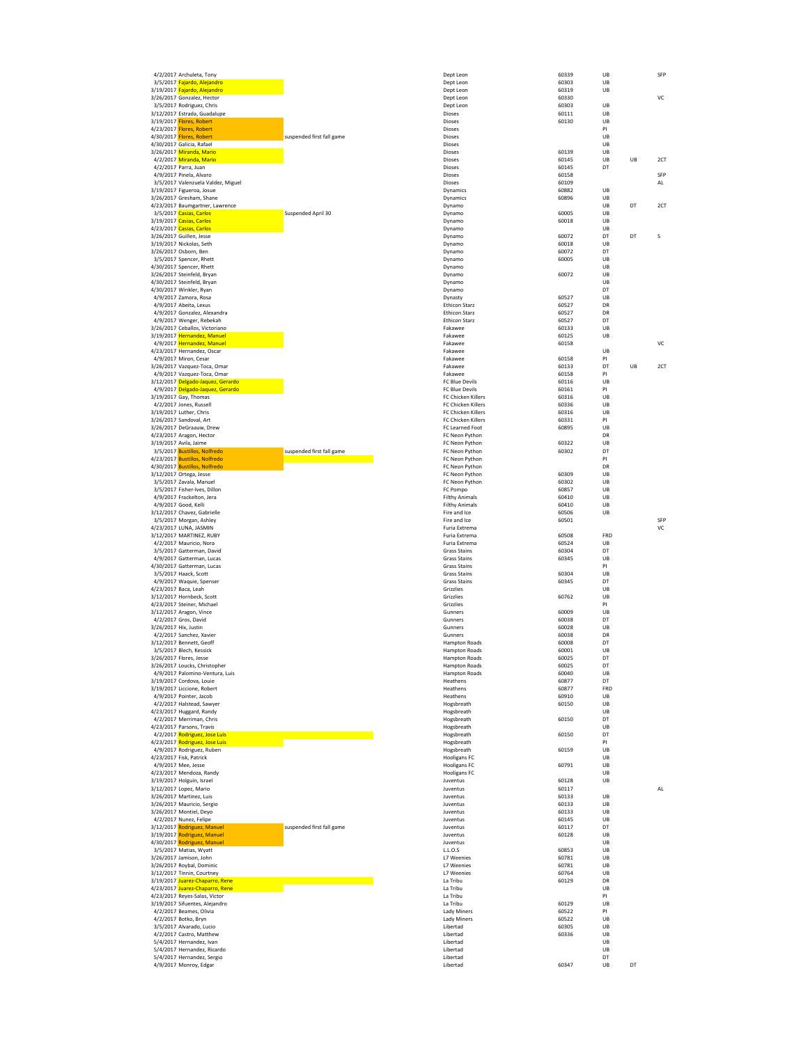|                       | 4/2/2017 Archuleta, Tony                                                             |                           | Dept Leon                                    | <b>PO339</b>   | UВ        |    | ъĦ  |
|-----------------------|--------------------------------------------------------------------------------------|---------------------------|----------------------------------------------|----------------|-----------|----|-----|
|                       | 3/5/2017 Fajardo, Alejandro                                                          |                           | Dept Leon                                    | 60303<br>60319 | UB<br>UB  |    |     |
|                       | 3/19/2017 <mark>Fajardo, Alejandro</mark><br>3/26/2017 Gonzalez, Hector              |                           | Dept Leon<br>Dept Leon                       | 60330          |           |    | VC  |
|                       | 3/5/2017 Rodriguez, Chris                                                            |                           | Dept Leon                                    | 60303          | UB        |    |     |
|                       | 3/12/2017 Estrada, Guadalupe                                                         |                           | Dioses                                       | 60111          | UB        |    |     |
|                       | 3/19/2017 Flores, Robert                                                             |                           | Dioses                                       | 60130          | UB        |    |     |
|                       | 4/23/2017 <mark>Flores, Robert</mark>                                                |                           | Dioses                                       |                | PI        |    |     |
|                       | 4/30/2017 <mark>Flores, Robert</mark>                                                | suspended first fall game | Dioses                                       |                | UB<br>UB  |    |     |
|                       | 4/30/2017 Galicia, Rafael<br>3/26/2017 <mark>Miranda, Mario</mark>                   |                           | Dioses<br><b>Dioses</b>                      | 60139          | UB        |    |     |
|                       | 4/2/2017 Miranda, Mario                                                              |                           | <b>Dioses</b>                                | 60145          | UB        | UB | 2CT |
|                       | 4/2/2017 Parra, Juan                                                                 |                           | Dioses                                       | 60145          | DT        |    |     |
|                       | 4/9/2017 Pinela, Alvaro                                                              |                           | Dioses                                       | 60158          |           |    | SFP |
|                       | 3/5/2017 Valenzuela Valdez, Miguel                                                   |                           | Dioses                                       | 60109          |           |    | AL  |
|                       | 3/19/2017 Figueroa, Josue<br>3/26/2017 Gresham, Shane                                |                           | Dynamics<br>Dynamics                         | 60882<br>60896 | UB<br>UB  |    |     |
|                       | 4/23/2017 Baumgartner, Lawrence                                                      |                           | Dynamo                                       |                | UB        | DT | 2CT |
|                       | 3/5/2017 Casias, Carlos                                                              | Suspended April 30        | Dynamo                                       | 60005          | UB        |    |     |
|                       | 3/19/2017 <mark>Casias, Carlos</mark>                                                |                           | Dynamo                                       | 60018          | UB        |    |     |
|                       | 4/23/2017 Casias, Carlos                                                             |                           | Dynamo                                       |                | UB        |    |     |
|                       | 3/26/2017 Guillen, Jesse<br>3/19/2017 Nickolas, Seth                                 |                           | Dynamo<br>Dynamo                             | 60072<br>60018 | DT<br>UB  | DT | S   |
|                       | 3/26/2017 Osborn, Ben                                                                |                           | Dynamo                                       | 60072          | DT        |    |     |
|                       | 3/5/2017 Spencer, Rhett                                                              |                           | Dynamo                                       | 60005          | UB        |    |     |
|                       | 4/30/2017 Spencer, Rhett                                                             |                           | Dynamo                                       |                | UB        |    |     |
|                       | 3/26/2017 Steinfeld, Bryan                                                           |                           | Dynamo                                       | 60072          | UB<br>UB  |    |     |
|                       | 4/30/2017 Steinfeld, Bryan<br>4/30/2017 Winkler, Ryan                                |                           | Dynamo<br>Dynamo                             |                | DT        |    |     |
|                       | 4/9/2017 Zamora, Rosa                                                                |                           | Dynasty                                      | 60527          | UB        |    |     |
|                       | 4/9/2017 Abeita, Lexus                                                               |                           | <b>Ethicon Starz</b>                         | 60527          | DR        |    |     |
|                       | 4/9/2017 Gonzalez, Alexandra                                                         |                           | <b>Ethicon Starz</b>                         | 60527          | DR        |    |     |
|                       | 4/9/2017 Wenger, Rebekah                                                             |                           | <b>Ethicon Starz</b><br>Fakawee              | 60527<br>60133 | DT<br>UB  |    |     |
|                       | 3/26/2017 Ceballos, Victoriano<br>3/19/2017 <mark>Hernandez, Manuel</mark>           |                           | Fakawee                                      | 60125          | UB        |    |     |
|                       | 4/9/2017 Hernandez, Manuel                                                           |                           | Fakawee                                      | 60158          |           |    | VC  |
|                       | 4/23/2017 Hernandez, Oscar                                                           |                           | Fakawee                                      |                | UB        |    |     |
|                       | 4/9/2017 Miron, Cesar                                                                |                           | Fakawee                                      | 60158          | PI        |    |     |
|                       | 3/26/2017 Vazquez-Toca, Omar<br>4/9/2017 Vazquez-Toca, Omar                          |                           | Fakawee<br>Fakawee                           | 60133<br>60158 | DT<br>PI  | UB | 2CT |
|                       | 3/12/2017 Delgado-Jaquez, Gerardo                                                    |                           | FC Blue Devils                               | 60116          | UB        |    |     |
|                       | 4/9/2017 Delgado-Jaquez, Gerardo                                                     |                           | FC Blue Devils                               | 60161          | PI        |    |     |
|                       | 3/19/2017 Gay, Thomas                                                                |                           | FC Chicken Killers                           | 60316          | UB        |    |     |
|                       | 4/2/2017 Jones, Russell                                                              |                           | FC Chicken Killers                           | 60336          | UB        |    |     |
|                       | 3/19/2017 Luther, Chris                                                              |                           | FC Chicken Killers                           | 60316          | UB        |    |     |
|                       | 3/26/2017 Sandoval, Art<br>3/26/2017 DeGraauw, Drew                                  |                           | FC Chicken Killers<br>FC Learned Foot        | 60331<br>60895 | PI<br>UB  |    |     |
|                       | 4/23/2017 Aragon, Hector                                                             |                           | FC Neon Python                               |                | DR        |    |     |
|                       | 3/19/2017 Avila, Jaime                                                               |                           | FC Neon Python                               | 60322          | UB        |    |     |
|                       | 3/5/2017 Bustillos, Nolfredo                                                         | suspended first fall game | FC Neon Python                               | 60302          | DT        |    |     |
|                       | 4/23/2017 <mark>Bustillos, Nolfredo</mark>                                           |                           | FC Neon Python                               |                | PI<br>DR  |    |     |
|                       | 4/30/2017 Bustillos, Nolfredo<br>3/12/2017 Ortega, Jesse                             |                           | FC Neon Python<br>FC Neon Python             | 60309          | UB        |    |     |
|                       | 3/5/2017 Zavala, Manuel                                                              |                           | FC Neon Python                               | 60302          | UB        |    |     |
|                       | 3/5/2017 Fisher-Ives, Dillon                                                         |                           | FC Pompo                                     | 60857          | UB        |    |     |
|                       | 4/9/2017 Frackelton, Jera                                                            |                           | <b>Filthy Animals</b>                        | 60410          | UB        |    |     |
|                       | 4/9/2017 Good, Kelli                                                                 |                           | <b>Filthy Animals</b>                        | 60410          | UB        |    |     |
|                       | 3/12/2017 Chavez, Gabrielle<br>3/5/2017 Morgan, Ashley                               |                           | Fire and Ice<br>Fire and Ice                 | 60506<br>60501 | UB        |    | SFP |
|                       | 4/23/2017 LUNA, JASMIN                                                               |                           | Furia Extrema                                |                |           |    | VC  |
|                       | 3/12/2017 MARTINEZ, RUBY                                                             |                           | Furia Extrema                                | 60508          | FRD       |    |     |
|                       | 4/2/2017 Mauricio, Nora                                                              |                           | Furia Extrema                                | 60524          | UB        |    |     |
|                       | 3/5/2017 Gatterman, David                                                            |                           | <b>Grass Stains</b>                          | 60304          | DT<br>UB  |    |     |
|                       | 4/9/2017 Gatterman, Lucas<br>4/30/2017 Gatterman, Lucas                              |                           | <b>Grass Stains</b><br><b>Grass Stains</b>   | 60345          | PI        |    |     |
|                       | 3/5/2017 Haack, Scott                                                                |                           | <b>Grass Stains</b>                          | 60304          | UB        |    |     |
|                       | 4/9/2017 Waquie, Spenser                                                             |                           | <b>Grass Stains</b>                          | 60345          | DT        |    |     |
|                       | 4/23/2017 Baca, Leah                                                                 |                           | Grizzlies                                    |                | UB        |    |     |
|                       | 3/12/2017 Hornbeck, Scott                                                            |                           | Grizzlies                                    | 60762          | UB<br>PI  |    |     |
|                       |                                                                                      |                           |                                              |                |           |    |     |
|                       | 4/23/2017 Steiner, Michael                                                           |                           | Grizzlies                                    |                |           |    |     |
|                       | 3/12/2017 Aragon, Vince<br>4/2/2017 Gros, David                                      |                           | Gunners<br>Gunners                           | 60009<br>60038 | UB<br>DT  |    |     |
| 3/26/2017 Hix, Justin |                                                                                      |                           | Gunners                                      | 60028          | UB        |    |     |
|                       | 4/2/2017 Sanchez, Xavier                                                             |                           | Gunners                                      | 60038          | DR        |    |     |
|                       | 3/12/2017 Bennett, Geoff                                                             |                           | <b>Hampton Roads</b>                         | 60008          | DT        |    |     |
|                       | 3/5/2017 Blech, Kessick                                                              |                           | <b>Hampton Roads</b>                         | 60001<br>60025 | UB<br>DT  |    |     |
|                       | 3/26/2017 Flores, Jesse<br>3/26/2017 Loucks, Christopher                             |                           | <b>Hampton Roads</b><br><b>Hampton Roads</b> | 60025          | DT        |    |     |
|                       | 4/9/2017 Palomino-Ventura, Luis                                                      |                           | <b>Hampton Roads</b>                         | 60040          | UB        |    |     |
|                       | 3/19/2017 Cordova, Louie                                                             |                           | Heathens                                     | 60877          | DT        |    |     |
|                       | 3/19/2017 Liccione, Robert<br>4/9/2017 Pointer, Jacob                                |                           | Heathens<br>Heathens                         | 60877<br>60910 | FRD<br>UB |    |     |
|                       | 4/2/2017 Halstead, Sawyer                                                            |                           | Hogsbreath                                   | 60150          | UB        |    |     |
|                       | 4/23/2017 Huggard, Randy                                                             |                           | Hogsbreath                                   |                | UB        |    |     |
|                       | 4/2/2017 Merriman, Chris                                                             |                           | Hogsbreath                                   | 60150          | DT        |    |     |
|                       | 4/23/2017 Parsons, Travis<br>4/2/2017 Rodriguez, Jose Luis                           |                           | Hogsbreath<br>Hogsbreath                     | 60150          | UB<br>DT  |    |     |
|                       | 4/23/2017 Rodriguez, Jose Luis                                                       |                           | Hogsbreath                                   |                | PI        |    |     |
|                       | 4/9/2017 Rodriguez, Ruben                                                            |                           | Hogsbreath                                   | 60159          | UB        |    |     |
|                       | 4/23/2017 Fisk, Patrick                                                              |                           | <b>Hooligans FC</b>                          |                | UB        |    |     |
|                       | 4/9/2017 Mee, Jesse                                                                  |                           | <b>Hooligans FC</b>                          | 60791          | UB        |    |     |
|                       | 4/23/2017 Mendoza, Randy                                                             |                           | <b>Hooligans FC</b><br>Juventus              | 60128          | UB<br>UB  |    |     |
|                       | 3/19/2017 Holguin, Israel<br>3/12/2017 Lopez, Mario                                  |                           | Juventus                                     | 60117          |           |    | AL  |
|                       | 3/26/2017 Martinez, Luis                                                             |                           | Juventus                                     | 60133          | UB        |    |     |
|                       | 3/26/2017 Mauricio, Sergio                                                           |                           | <b>Juventus</b>                              | 60133          | UB        |    |     |
|                       | 3/26/2017 Montiel, Deyo                                                              |                           | Juventus                                     | 60133          | UB        |    |     |
|                       | 4/2/2017 Nunez, Felipe                                                               |                           | Juventus<br>Juventus                         | 60145<br>60117 | UB<br>DT  |    |     |
|                       | 3/12/2017 <mark>Rodriguez, Manuel</mark><br>3/19/2017 <mark>Rodriguez, Manuel</mark> | suspended first fall game | Juventus                                     | 60128          | UB        |    |     |
|                       | 4/30/2017 Rodriguez, Manuel                                                          |                           | Juventus                                     |                | UB        |    |     |
|                       | 3/5/2017 Matias, Wyatt                                                               |                           | L.L.O.S                                      | 60853          | UB        |    |     |
|                       | 3/26/2017 Jamison, John                                                              |                           | <b>L7 Weenies</b>                            | 60781          | UB        |    |     |
|                       | 3/26/2017 Roybal, Dominic<br>3/12/2017 Tinnin, Courtney                              |                           | L7 Weenies<br>L7 Weenies                     | 60781<br>60764 | UB<br>UB  |    |     |
|                       | 3/19/2017 Juarez-Chaparro, Rene                                                      |                           | La Tribu                                     | 60129          | DR        |    |     |
|                       | 4/23/2017 <mark>Juarez-Chaparro, Rene</mark>                                         |                           | La Tribu                                     |                | UB        |    |     |
|                       | 4/23/2017 Reyes-Salas, Victor                                                        |                           | La Tribu                                     |                | PI        |    |     |
|                       | 3/19/2017 Sifuentes, Alejandro                                                       |                           | La Tribu                                     | 60129          | UB        |    |     |
|                       | 4/2/2017 Beames, Olivia<br>4/2/2017 Botko, Bryn                                      |                           | Lady Miners<br>Lady Miners                   | 60522<br>60522 | PI<br>UB  |    |     |
|                       | 3/5/2017 Alvarado, Lucio                                                             |                           | Libertad                                     | 60305          | UB        |    |     |
|                       | 4/2/2017 Castro, Matthew                                                             |                           | Libertad                                     | 60336          | UB        |    |     |
|                       | 5/4/2017 Hernandez, Ivan                                                             |                           | Libertad                                     |                | UB        |    |     |
|                       | 5/4/2017 Hernandez, Ricardo                                                          |                           | Libertad                                     |                | UB        |    |     |
|                       | 5/4/2017 Hernandez, Sergio<br>4/9/2017 Monroy, Edgar                                 |                           | Libertad<br>Libertad                         | 60347          | DT<br>UB  | DT |     |

| 4/2/2017 Archuleta, Tony                                                     |                           | Dept Leon                                    | 60339          | UB       |    | SFP       |
|------------------------------------------------------------------------------|---------------------------|----------------------------------------------|----------------|----------|----|-----------|
| 3/5/2017 <mark>Fajardo, Alejandro</mark>                                     |                           | Dept Leon                                    | 60303          | UB       |    |           |
| /19/2017 <mark>Fajardo, Alejandro</mark><br>/26/2017 Gonzalez, Hector        |                           | Dept Leon<br>Dept Leon                       | 60319<br>60330 | UB       |    | VC        |
| 3/5/2017 Rodriguez, Chris                                                    |                           | Dept Leon                                    | 60303          | UB       |    |           |
| /12/2017 Estrada, Guadalupe                                                  |                           | Dioses                                       | 60111          | UB       |    |           |
| /19/2017 <mark>Flores, Robert</mark>                                         |                           | Dioses                                       | 60130          | UB       |    |           |
| /23/2017 <mark>Flores, Robert</mark><br>/30/2017 <mark>Flores, Robert</mark> | suspended first fall game | Dioses<br>Dioses                             |                | PI<br>UB |    |           |
| /30/2017 Galicia, Rafael                                                     |                           | Dioses                                       |                | UB       |    |           |
| /26/2017 <mark>Miranda, Mario</mark>                                         |                           | Dioses                                       | 60139          | UB       |    |           |
| 4/2/2017 <mark>Miranda, Mario</mark>                                         |                           | Dioses                                       | 60145          | UB       | UB | 2CT       |
| 4/2/2017 Parra, Juan                                                         |                           | Dioses<br>Dioses                             | 60145<br>60158 | DT       |    | SFP       |
| 4/9/2017 Pinela, Alvaro<br>3/5/2017 Valenzuela Valdez, Miguel                |                           | Dioses                                       | 60109          |          |    | AL        |
| /19/2017 Figueroa, Josue                                                     |                           | Dynamics                                     | 60882          | UB       |    |           |
| /26/2017 Gresham, Shane                                                      |                           | Dynamics                                     | 60896          | UB       |    |           |
| /23/2017 Baumgartner, Lawrence                                               | Suspended April 30        | Dynamo                                       |                | UB       | DT | 2CT       |
| 3/5/2017 Casias, Carlos<br>/19/2017 <mark>Casias, Carlos</mark>              |                           | Dynamo<br>Dynamo                             | 60005<br>60018 | UB<br>UB |    |           |
| /23/2017 Casias, Carlos                                                      |                           | Dynamo                                       |                | UB       |    |           |
| /26/2017 Guillen, Jesse                                                      |                           | Dynamo                                       | 60072          | DT       | DT | S         |
| /19/2017 Nickolas, Seth                                                      |                           | Dynamo                                       | 60018          | UB       |    |           |
| /26/2017 Osborn, Ben<br>3/5/2017 Spencer, Rhett                              |                           | Dynamo<br>Dynamo                             | 60072<br>60005 | DT<br>UB |    |           |
| /30/2017 Spencer, Rhett                                                      |                           | Dynamo                                       |                | UB       |    |           |
| /26/2017 Steinfeld, Bryan                                                    |                           | Dynamo                                       | 60072          | UB       |    |           |
| /30/2017 Steinfeld, Bryan                                                    |                           | Dynamo                                       |                | UB<br>DT |    |           |
| /30/2017 Winkler, Ryan<br>4/9/2017 Zamora, Rosa                              |                           | Dynamo<br>Dynasty                            | 60527          | UB       |    |           |
| 4/9/2017 Abeita, Lexus                                                       |                           | <b>Ethicon Starz</b>                         | 60527          | DR       |    |           |
| 4/9/2017 Gonzalez, Alexandra                                                 |                           | <b>Ethicon Starz</b>                         | 60527          | DR       |    |           |
| 4/9/2017 Wenger, Rebekah                                                     |                           | <b>Ethicon Starz</b>                         | 60527          | DT       |    |           |
| /26/2017 Ceballos, Victoriano<br>/19/2017 <b>Hernandez, Manuel</b>           |                           | Fakawee<br>Fakawee                           | 60133<br>60125 | UB<br>UB |    |           |
| 4/9/2017 <b>Hernandez, Manuel</b>                                            |                           | Fakawee                                      | 60158          |          |    | VC        |
| /23/2017 Hernandez, Oscar                                                    |                           | Fakawee                                      |                | UB       |    |           |
| 4/9/2017 Miron, Cesar                                                        |                           | Fakawee                                      | 60158          | PI       |    |           |
| /26/2017 Vazquez-Toca, Omar<br>4/9/2017 Vazquez-Toca, Omar                   |                           | Fakawee<br>Fakawee                           | 60133<br>60158 | DT<br>PI | UB | 2CT       |
| /12/2017 Delgado-Jaquez, Gerardo                                             |                           | FC Blue Devils                               | 60116          | UB       |    |           |
| 4/9/2017 <mark>Delgado-Jaquez, Gerardo</mark>                                |                           | FC Blue Devils                               | 60161          | PI       |    |           |
| /19/2017 Gay, Thomas                                                         |                           | FC Chicken Killers                           | 60316          | UB       |    |           |
| 4/2/2017 Jones, Russell<br>/19/2017 Luther, Chris                            |                           | FC Chicken Killers<br>FC Chicken Killers     | 60336<br>60316 | UB<br>UB |    |           |
| /26/2017 Sandoval, Art                                                       |                           | FC Chicken Killers                           | 60331          | PI       |    |           |
| /26/2017 DeGraauw, Drew                                                      |                           | FC Learned Foot                              | 60895          | UB       |    |           |
| /23/2017 Aragon, Hector                                                      |                           | FC Neon Python                               |                | DR       |    |           |
| /19/2017 Avila, Jaime                                                        |                           | FC Neon Python                               | 60322          | UB       |    |           |
| 3/5/2017 Bustillos, Nolfredo<br>/23/2017 <mark>Bustillos, Nolfredo</mark>    | suspended first fall game | FC Neon Python<br>FC Neon Python             | 60302          | DT<br>PI |    |           |
| /30/2017 Bustillos, Nolfredo                                                 |                           | FC Neon Python                               |                | DR       |    |           |
| /12/2017 Ortega, Jesse                                                       |                           | FC Neon Python                               | 60309          | UB       |    |           |
| 3/5/2017 Zavala, Manuel<br>3/5/2017 Fisher-Ives, Dillon                      |                           | FC Neon Python<br>FC Pompo                   | 60302<br>60857 | UB<br>UB |    |           |
| 4/9/2017 Frackelton, Jera                                                    |                           | <b>Filthy Animals</b>                        | 60410          | UB       |    |           |
| 4/9/2017 Good, Kelli                                                         |                           | <b>Filthy Animals</b>                        | 60410          | UB       |    |           |
| /12/2017 Chavez, Gabrielle                                                   |                           | Fire and Ice                                 | 60506          | UB       |    |           |
| 3/5/2017 Morgan, Ashley<br>/23/2017 LUNA, JASMIN                             |                           | Fire and Ice<br>Furia Extrema                | 60501          |          |    | SFP<br>VC |
| /12/2017 MARTINEZ, RUBY                                                      |                           | Furia Extrema                                | 60508          | FRD      |    |           |
| 4/2/2017 Mauricio, Nora                                                      |                           | Furia Extrema                                | 60524          | UB       |    |           |
| 3/5/2017 Gatterman, David                                                    |                           | <b>Grass Stains</b>                          | 60304          | DT       |    |           |
| 4/9/2017 Gatterman, Lucas<br>/30/2017 Gatterman, Lucas                       |                           | <b>Grass Stains</b><br><b>Grass Stains</b>   | 60345          | UB<br>PI |    |           |
| 3/5/2017 Haack, Scott                                                        |                           | <b>Grass Stains</b>                          | 60304          | UB       |    |           |
| 4/9/2017 Waquie, Spenser                                                     |                           | <b>Grass Stains</b>                          | 60345          | DT       |    |           |
| /23/2017 Baca, Leah                                                          |                           | Grizzlies                                    |                | UB       |    |           |
| /12/2017 Hornbeck, Scott<br>/23/2017 Steiner, Michael                        |                           | Grizzlies<br>Grizzlies                       | 60762          | UB<br>PI |    |           |
| /12/2017 Aragon, Vince                                                       |                           | Gunners                                      | 60009          | UB       |    |           |
| 4/2/2017 Gros, David                                                         |                           | Gunners                                      | 60038          | DT       |    |           |
| /26/2017 Hix, Justin<br>4/2/2017 Sanchez, Xavier                             |                           | Gunners                                      | 60028          | UB<br>DR |    |           |
| /12/2017 Bennett, Geoff                                                      |                           | Gunners<br><b>Hampton Roads</b>              | 60038<br>60008 | DT       |    |           |
| 3/5/2017 Blech, Kessick                                                      |                           | <b>Hampton Roads</b>                         | 60001          | UB       |    |           |
| /26/2017 Flores, Jesse                                                       |                           | <b>Hampton Roads</b>                         | 60025          | DT       |    |           |
| /26/2017 Loucks, Christopher                                                 |                           | <b>Hampton Roads</b><br><b>Hampton Roads</b> | 60025<br>60040 | DT<br>UB |    |           |
| 4/9/2017 Palomino-Ventura, Luis<br>/19/2017 Cordova, Louie                   |                           | Heathens                                     | 60877          | DT       |    |           |
| /19/2017 Liccione, Robert                                                    |                           | Heathens                                     | 60877          | FRD      |    |           |
| 4/9/2017 Pointer, Jacob                                                      |                           | Heathens                                     | 60910          | UB       |    |           |
| 4/2/2017 Halstead, Sawyer<br>/23/2017 Huggard, Randy                         |                           | Hogsbreath<br>Hogsbreath                     | 60150          | UB<br>UB |    |           |
| 4/2/2017 Merriman, Chris                                                     |                           | Hogsbreath                                   | 60150          | DT       |    |           |
| /23/2017 Parsons, Travis                                                     |                           | Hogsbreath                                   |                | UB       |    |           |
| 4/2/2017 <mark>Rodriguez, Jose Luis</mark>                                   |                           | Hogsbreath                                   | 60150          | DT       |    |           |
| /23/2017 Rodriguez, Jose Luis<br>4/9/2017 Rodriguez, Ruben                   |                           | Hogsbreath<br>Hogsbreath                     | 60159          | PI<br>UB |    |           |
| /23/2017 Fisk, Patrick                                                       |                           | <b>Hooligans FC</b>                          |                | UB       |    |           |
| 4/9/2017 Mee, Jesse                                                          |                           | <b>Hooligans FC</b>                          | 60791          | UB       |    |           |
| /23/2017 Mendoza, Randy                                                      |                           | <b>Hooligans FC</b>                          |                | UB       |    |           |
| /19/2017 Holguin, Israel<br>/12/2017 Lopez, Mario                            |                           | Juventus<br>Juventus                         | 60128<br>60117 | UB       |    | AL        |
| /26/2017 Martinez, Luis                                                      |                           | Juventus                                     | 60133          | UB       |    |           |
| /26/2017 Mauricio, Sergio                                                    |                           | Juventus                                     | 60133          | UB       |    |           |
| /26/2017 Montiel, Deyo                                                       |                           | Juventus                                     | 60133          | UB       |    |           |
| 4/2/2017 Nunez, Felipe<br>/12/2017 Rodriguez, Manuel                         | suspended first fall game | luventus<br>Juventus                         | 60145<br>60117 | UB<br>DT |    |           |
| /19/2017 Rodriguez, Manuel                                                   |                           | Juventus                                     | 60128          | UB       |    |           |
| /30/2017 <mark>Rodriguez, Manuel</mark>                                      |                           | Juventus                                     |                | UB       |    |           |
| 3/5/2017 Matias, Wyatt                                                       |                           | L.L.O.S                                      | 60853          | UB       |    |           |
| /26/2017 Jamison, John<br>/26/2017 Roybal, Dominic                           |                           | L7 Weenies<br>L7 Weenies                     | 60781<br>60781 | UB<br>UB |    |           |
| /12/2017 Tinnin, Courtney                                                    |                           | L7 Weenies                                   | 60764          | UB       |    |           |
| /19/2017 Juarez-Chaparro, Rene                                               |                           | La Tribu                                     | 60129          | DR       |    |           |
| /23/2017 Juarez-Chaparro, Rene                                               |                           | La Tribu                                     |                | UB       |    |           |
| /23/2017 Reyes-Salas, Victor<br>/19/2017 Sifuentes, Alejandro                |                           | La Tribu<br>La Tribu                         | 60129          | PI<br>UB |    |           |
| 4/2/2017 Beames, Olivia                                                      |                           | Lady Miners                                  | 60522          | PI       |    |           |
| 4/2/2017 Botko, Bryn                                                         |                           | <b>Lady Miners</b>                           | 60522          | UB       |    |           |
| 3/5/2017 Alvarado, Lucio                                                     |                           | Libertad                                     | 60305          | UB       |    |           |
| 4/2/2017 Castro, Matthew<br>5/4/2017 Hernandez, Ivan                         |                           | Libertad<br>Libertad                         | 60336          | UB<br>UB |    |           |
| 5/4/2017 Hernandez, Ricardo                                                  |                           | Libertad                                     |                | UB       |    |           |
| $5/4/2017$ Hernandez Si                                                      |                           |                                              |                | n1       |    |           |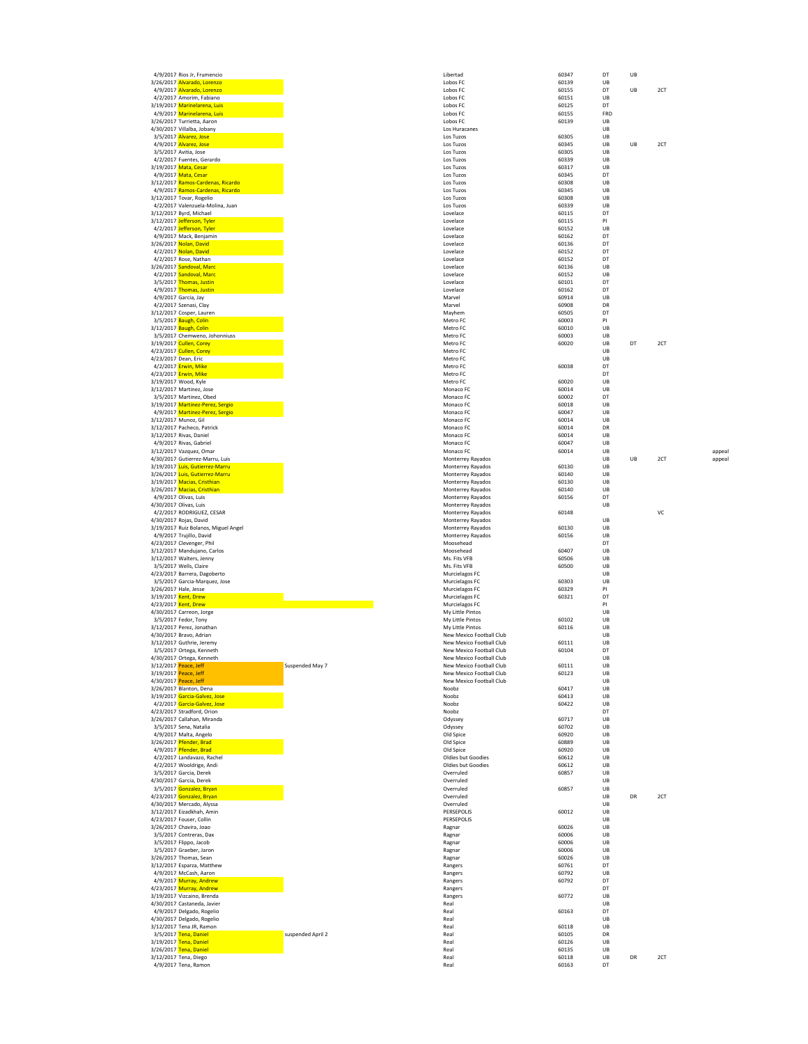|                         |                                                            | Libertad                   | 60347          | DT       |
|-------------------------|------------------------------------------------------------|----------------------------|----------------|----------|
|                         | 4/9/2017 Rios Jr, Frumencio<br>3/26/2017 Alvarado, Lorenzo | Lobos FC                   | 60139          | UB       |
|                         | 4/9/2017 Alvarado, Lorenzo                                 | Lobos FC                   | 60155          | DT       |
|                         | 4/2/2017 Amorim, Fabiano                                   | Lobos FC                   | 60151          | UB       |
|                         | 3/19/2017 Marinelarena, Luis                               | Lobos FC                   | 60125          | DT       |
|                         | 4/9/2017 Marinelarena, Luis                                | Lobos FC                   | 60155          | FRD      |
|                         | 3/26/2017 Turrietta, Aaron                                 | Lobos FC                   | 60139          | UB       |
|                         |                                                            |                            |                |          |
|                         | 4/30/2017 Villalba, Jobany                                 | Los Huracanes<br>Los Tuzos | 60305          | UB<br>UB |
|                         | 3/5/2017 Alvarez, Jose                                     |                            |                | UB       |
|                         | 4/9/2017 Alvarez, Jose                                     | Los Tuzos                  | 60345<br>60305 | UB       |
|                         | 3/5/2017 Avitia, Jose                                      | Los Tuzos                  |                |          |
|                         | 4/2/2017 Fuentes, Gerardo                                  | Los Tuzos                  | 60339          | UB       |
|                         | 3/19/2017 Mata, Cesar                                      | Los Tuzos                  | 60317          | UB       |
|                         | 4/9/2017 Mata, Cesar                                       | Los Tuzos                  | 60345          | DT       |
|                         | 3/12/2017 Ramos-Cardenas, Ricardo                          | Los Tuzos                  | 60308          | UB       |
|                         | 4/9/2017 Ramos-Cardenas, Ricardo                           | Los Tuzos                  | 60345          | UB       |
|                         | 3/12/2017 Tovar, Rogelio                                   | Los Tuzos                  | 60308          | UB       |
|                         | 4/2/2017 Valenzuela-Molina, Juan                           | Los Tuzos                  | 60339          | UB       |
|                         | 3/12/2017 Byrd, Michael                                    | Lovelace                   | 60115          | DT       |
|                         | 3/12/2017 Jefferson, Tyler                                 | Lovelace                   | 60115          | PI       |
|                         | 4/2/2017 Jefferson, Tyler                                  | Lovelace                   | 60152          | UB       |
|                         | 4/9/2017 Mack, Benjamin                                    | Lovelace                   | 60162          | DT       |
|                         | 3/26/2017 Nolan, David                                     | Lovelace                   | 60136          | DT       |
|                         | 4/2/2017 Nolan, David                                      | Lovelace                   | 60152          | DT       |
|                         | 4/2/2017 Rose, Nathan                                      | Lovelace                   | 60152          | DT       |
|                         | 3/26/2017 Sandoval, Marc                                   | Lovelace                   | 60136          | UB       |
|                         | 4/2/2017 Sandoval, Marc                                    | Lovelace                   | 60152          | UB       |
|                         | 3/5/2017 Thomas, Justin                                    | Lovelace                   | 60101          | DT       |
|                         | 4/9/2017 Thomas, Justin                                    | Lovelace                   | 60162          | DT       |
|                         | 4/9/2017 Garcia, Jay                                       | Marvel                     | 60914          | UB       |
|                         | 4/2/2017 Szenasi, Clay                                     | Marvel                     | 60908          | DR       |
|                         | 3/12/2017 Cosper, Lauren                                   | Mayhem                     | 60505          | DT       |
|                         |                                                            |                            |                | PI       |
|                         | 3/5/2017 Baugh, Colin                                      | Metro FC<br>Metro FC       | 60003          | UB       |
|                         | 3/12/2017 Baugh, Colin                                     |                            | 60010          |          |
|                         | 3/5/2017 Chemweno, Johonniuss                              | Metro EC                   | 60003          | UB       |
|                         | 3/19/2017 Cullen, Corey                                    | Metro FC                   | 60020          | UB       |
|                         | 4/23/2017 Cullen, Corey                                    | Metro FC                   |                | UB       |
| 4/23/2017 Dean, Eric    |                                                            | Metro FC                   |                | UB       |
|                         | 4/2/2017 Erwin, Mike                                       | Metro FC                   | 60038          | DT       |
|                         | 4/23/2017 Erwin, Mike                                      | Metro FC                   |                | DT       |
|                         | 3/19/2017 Wood, Kyle                                       | Metro FC                   | 60020          | UB       |
|                         | 3/12/2017 Martinez, Jose                                   | Monaco FC                  | 60014          | UB       |
|                         | 3/5/2017 Martinez, Obed                                    | Monaco FC                  | 60002          | DT       |
|                         | 3/19/2017 Martinez-Perez, Sergio                           | Monaco FC                  | 60018          | UB       |
|                         | 4/9/2017 Martinez-Perez, Sergio                            | Monaco FC                  | 60047          | UB       |
| 3/12/2017 Munoz, Gil    |                                                            | Monaco FC                  | 60014          | UB       |
|                         | 3/12/2017 Pacheco, Patrick                                 | Monaco FC                  | 60014          | DR       |
|                         | 3/12/2017 Rivas, Daniel                                    | Monaco FC                  | 60014          | UB       |
|                         | 4/9/2017 Rivas, Gabriel                                    | Monaco FC                  | 60047          | UB       |
|                         | 3/12/2017 Vazquez, Omar                                    | Monaco FC                  | 60014          | UB       |
|                         | 4/30/2017 Gutierrez-Marru, Luis                            | Monterrey Rayados          |                | UB       |
|                         | 3/19/2017 Luis, Gutierrez-Marru                            | Monterrey Rayados          | 60130          | UB       |
|                         | 3/26/2017 Luis, Gutierrez-Marru                            | Monterrey Rayados          | 60140          | UB       |
|                         | 3/19/2017 Macias, Cristhian                                | Monterrey Rayados          | 60130          | UB       |
|                         | 3/26/2017 Macias, Cristhian                                | Monterrey Rayados          | 60140          | UB       |
|                         | 4/9/2017 Olivas, Luis                                      | Monterrey Rayados          | 60156          | DT       |
|                         | 4/30/2017 Olivas, Luis                                     |                            |                | UB       |
|                         |                                                            | Monterrey Rayados          |                |          |
|                         | 4/2/2017 RODRIGUEZ, CESAR                                  | Monterrey Rayados          | 60148          | UB       |
|                         | 4/30/2017 Rojas, David                                     | Monterrey Rayados          |                |          |
|                         | 3/19/2017 Ruiz Bolanos, Miguel Angel                       | Monterrey Rayados          | 60130          | UB       |
|                         | 4/9/2017 Trujillo, David                                   | Monterrey Rayados          | 60156          | UB       |
|                         | 4/23/2017 Clevenger, Phil                                  | Moosehead                  |                | DT       |
|                         | 3/12/2017 Mandujano, Carlos                                | Moosehead                  | 60407          | UB       |
|                         | 3/12/2017 Walters, Jenny                                   | Ms. Fits VFB               | 60506          | UB       |
|                         | 3/5/2017 Wells, Claire                                     | Ms. Fits VFB               | 60500          | UB       |
|                         | 4/23/2017 Barrera, Dagoberto                               | Murcielagos FC             |                | UB       |
|                         | 3/5/2017 Garcia-Marquez, Jose                              | Murcielagos FC             | 60303          | UB       |
| 3/26/2017 Hale, Jesse   |                                                            | Murcielagos FC             | 60329          | PI       |
| 3/19/2017 Kent, Drew    |                                                            | Murcielagos FC             | 60321          | DT       |
| 4/23/2017 Kent, Drew    |                                                            | Murcielagos FC             |                | PI       |
|                         | 4/30/2017 Carreon, Jorge                                   | My Little Pintos           |                | UB       |
|                         | 3/5/2017 Fedor, Tony                                       | My Little Pintos           | 60102          | UB       |
|                         | 3/12/2017 Perez, Jonathan                                  | My Little Pintos           |                |          |
| 4/30/2017 Bravo, Adrian |                                                            |                            | 60116          | UB       |
|                         |                                                            | New Mexico Football Club   |                | UB       |
|                         | 3/12/2017 Guthrie, Jeremy                                  | New Mexico Football Club   | 60111          | UB       |
|                         | 3/5/2017 Ortega, Kenneth                                   | New Mexico Football Club   | 60104          | DT       |
|                         | 4/30/2017 Ortega, Kenneth                                  | New Mexico Football Club   |                | UR       |
| 3/12/2017 Peace. Jeff   | Suspended May 7                                            | New Mexico Football Club   | 60111          | UB       |
| 3/19/2017 Peace, Jeff   |                                                            | New Mexico Football Club   | 60123          | UB       |
| 4/30/2017 Peace, Jeff   |                                                            | New Mexico Football Club   |                | UB       |
|                         | 3/26/2017 Blanton, Dena                                    | Noobz                      | 60417          | UB       |
|                         | 3/19/2017 Garcia-Galvez, Jose                              | Noobz                      | 60413          | UB       |
|                         | 4/2/2017 Garcia-Galvez, Jose                               | Noobz                      | 60422          | UB       |
|                         | 4/23/2017 Stradford, Orion                                 | Noobz                      |                | DT       |
|                         | 3/26/2017 Callahan, Miranda                                | Odyssey                    | 60717          | UB       |
|                         | 3/5/2017 Sena, Natalia                                     | Odyssey                    | 60702          | UB       |
|                         | 4/9/2017 Malta, Angelo                                     | Old Spice                  | 60920          | UB       |
|                         | 3/26/2017 Pfender, Brad                                    | Old Spice                  | 60889          | UB       |
|                         | 4/9/2017 Pfender, Brad                                     | Old Spice                  | 60920          | UB       |
|                         | 4/2/2017 Landavazo, Rachel                                 | Oldies but Goodies         | 60612          | UB       |
|                         |                                                            | Oldies but Goodies         |                |          |
|                         | 4/2/2017 Wooldrige, Andi                                   | Overruled                  | 60612<br>60857 | UB<br>UB |
|                         | 3/5/2017 Garcia, Derek                                     | Overruled                  |                |          |
|                         | 4/30/2017 Garcia, Derek                                    | Overruled                  | 60857          | UB<br>UB |
|                         | 3/5/2017 Gonzalez, Bryan                                   | Overruled                  |                | UB       |
|                         | 4/23/2017 Gonzalez, Bryan                                  | Overruled                  |                |          |
|                         | 4/30/2017 Mercado, Alyssa                                  |                            |                | UB       |
|                         | 3/12/2017 Eizadkhah, Amin                                  | PERSEPOLIS                 | 60012          | UB       |
|                         | 4/23/2017 Fouser, Collin                                   | PERSEPOLIS                 |                | UB       |
|                         | 3/26/2017 Chavira, Joao                                    | Ragnar                     | 60026          | UB       |
|                         | 3/5/2017 Contreras, Dax                                    | Ragnar                     | 60006          | UB       |
|                         | 3/5/2017 Flippo, Jacob                                     | Ragnar                     | 60006          | UB       |
|                         | 3/5/2017 Graeber, Jaron                                    | Ragnar                     | 60006          | UB       |
|                         | 3/26/2017 Thomas, Sean                                     | Ragnar                     | 60026          | UB       |
|                         | 3/12/2017 Esparza, Matthew                                 | Rangers                    | 60761          | DT       |
|                         | 4/9/2017 McCash, Aaron                                     | Rangers                    | 60792          | UB       |
|                         | 4/9/2017 Murray, Andrew                                    | Rangers                    | 60792          | DT       |
|                         | 4/23/2017 Murray, Andrew                                   | Rangers                    |                | DT       |
|                         | 3/19/2017 Vizcaino, Brenda                                 | Rangers                    | 60772          | UB       |
|                         | 4/30/2017 Castaneda, Javier                                | Real                       |                | UB       |
|                         | 4/9/2017 Delgado, Rogelio                                  | Real                       | 60163          | DT       |
|                         | 4/30/2017 Delgado, Rogelio                                 | Real                       |                | UB       |
|                         | 3/12/2017 Tena JR, Ramon                                   | Real                       | 60118          | UB       |
|                         | suspended April 2<br>3/5/2017 Tena, Daniel                 | Real                       | 60105          | DR       |
|                         | 3/19/2017 Tena, Daniel                                     | Real                       | 60126          | UB       |
|                         |                                                            | Real                       | 60135          | UB       |
|                         | 3/26/2017 Tena, Daniel                                     |                            |                |          |
|                         | 3/12/2017 Tena, Diego<br>4/9/2017 Tena, Ramon              | Real<br>Real               | 60118<br>60163 | UB<br>DT |

| 4/9/2017 Rios Jr, Frumencio                                                              |                   | Libertad                                             | 60347          | DT       | UB |     |        |
|------------------------------------------------------------------------------------------|-------------------|------------------------------------------------------|----------------|----------|----|-----|--------|
| 3/26/2017 Alvarado, Lorenzo                                                              |                   | Lobos FC                                             | 60139          | UB       |    |     |        |
| 4/9/2017 Alvarado, Lorenzo                                                               |                   | Lobos FC                                             | 60155          | DT       | UB | 2CT |        |
| 4/2/2017 Amorim, Fabiano<br>3/19/2017 <mark>Marinelarena, Luis</mark>                    |                   | Lobos FC<br>Lobos FC                                 | 60151<br>60125 | UB<br>DT |    |     |        |
| 4/9/2017 Marinelarena, Luis                                                              |                   | Lobos FC                                             | 60155          | FRD      |    |     |        |
| 3/26/2017 Turrietta, Aaron                                                               |                   | Lobos FC                                             | 60139          | UB       |    |     |        |
| 4/30/2017 Villalba, Jobany                                                               |                   | Los Huracanes                                        |                | UB       |    |     |        |
| 3/5/2017 Alvarez, Jose                                                                   |                   | Los Tuzos                                            | 60305          | UB       |    |     |        |
| 4/9/2017 Alvarez, Jose                                                                   |                   | Los Tuzos                                            | 60345          | UB       | UB | 2CT |        |
| 3/5/2017 Avitia, Jose                                                                    |                   | Los Tuzos                                            | 60305          | UB       |    |     |        |
| 4/2/2017 Fuentes, Gerardo                                                                |                   | Los Tuzos                                            | 60339          | UB       |    |     |        |
| 3/19/2017 <mark>Mata, Cesar</mark>                                                       |                   | Los Tuzos                                            | 60317          | UB       |    |     |        |
| 4/9/2017 Mata, Cesar                                                                     |                   | Los Tuzos                                            | 60345          | DT       |    |     |        |
| 3/12/2017 Ramos-Cardenas, Ricardo                                                        |                   | Los Tuzos                                            | 60308          | UB       |    |     |        |
| 4/9/2017 Ramos-Cardenas, Ricardo                                                         |                   | Los Tuzos                                            | 60345          | UB       |    |     |        |
| 3/12/2017 Tovar, Rogelio                                                                 |                   | Los Tuzos                                            | 60308          | UB       |    |     |        |
| 4/2/2017 Valenzuela-Molina, Juan                                                         |                   | Los Tuzos                                            | 60339          | UB       |    |     |        |
| 3/12/2017 Byrd, Michael                                                                  |                   | Lovelace                                             | 60115          | DT       |    |     |        |
| 3/12/2017 <mark>Jefferson, Tyler</mark>                                                  |                   | Lovelace                                             | 60115          | PI       |    |     |        |
| 4/2/2017 Jefferson, Tyler                                                                |                   | Lovelace                                             | 60152          | UB       |    |     |        |
| 4/9/2017 Mack, Benjamin                                                                  |                   | Lovelace                                             | 60162          | DT       |    |     |        |
| 3/26/2017 <mark>Nolan, David</mark>                                                      |                   | Lovelace                                             | 60136          | DT       |    |     |        |
| 4/2/2017 Nolan, David                                                                    |                   | Lovelace                                             | 60152          | DT       |    |     |        |
| 4/2/2017 Rose, Nathan                                                                    |                   | Lovelace                                             | 60152          | DT       |    |     |        |
| 3/26/2017 <mark>Sandoval, Marc</mark>                                                    |                   | Lovelace                                             | 60136          | UB       |    |     |        |
| 4/2/2017 Sandoval, Marc<br>3/5/2017 Thomas, Justin                                       |                   | Lovelace<br>Lovelace                                 | 60152<br>60101 | UB<br>DT |    |     |        |
| 4/9/2017 Thomas, Justin                                                                  |                   | Lovelace                                             | 60162          | DT       |    |     |        |
| 4/9/2017 Garcia, Jay                                                                     |                   | Marvel                                               | 60914          | UB       |    |     |        |
| 4/2/2017 Szenasi, Clay                                                                   |                   | Marvel                                               | 60908          | DR       |    |     |        |
| 3/12/2017 Cosper, Lauren                                                                 |                   | Mayhem                                               | 60505          | DT       |    |     |        |
| 3/5/2017 Baugh, Colin                                                                    |                   | Metro FC                                             | 60003          | PI       |    |     |        |
| 3/12/2017 <mark>Baugh, Colin</mark>                                                      |                   | Metro FC                                             | 60010          | UB       |    |     |        |
| 3/5/2017 Chemweno, Johonniuss                                                            |                   | Metro FC                                             | 60003          | UB       |    |     |        |
| 3/19/2017 <mark>Cullen, Corey</mark>                                                     |                   | Metro FC                                             | 60020          | UB       | DT | 2CT |        |
| 4/23/2017 <mark>Cullen, Corey</mark>                                                     |                   | Metro FC                                             |                | UB       |    |     |        |
| 4/23/2017 Dean, Eric                                                                     |                   | Metro FC                                             |                | UB       |    |     |        |
| 4/2/2017 Erwin, Mike                                                                     |                   | Metro FC                                             | 60038          | DT       |    |     |        |
| 4/23/2017 <mark>Erwin, Mike</mark>                                                       |                   | Metro FC                                             |                | DT       |    |     |        |
| 3/19/2017 Wood, Kyle                                                                     |                   | Metro FC                                             | 60020          | UB       |    |     |        |
| 3/12/2017 Martinez, Jose                                                                 |                   | Monaco FC                                            | 60014          | UB       |    |     |        |
| 3/5/2017 Martinez, Obed                                                                  |                   | Monaco FC                                            | 60002          | DT       |    |     |        |
| 3/19/2017 Martinez-Perez, Sergio                                                         |                   | Monaco FC                                            | 60018          | UB       |    |     |        |
| 4/9/2017 Martinez-Perez, Sergio                                                          |                   | Monaco FC                                            | 60047          | UB       |    |     |        |
| 3/12/2017 Munoz, Gil                                                                     |                   | Monaco FC                                            | 60014          | UB       |    |     |        |
| 3/12/2017 Pacheco, Patrick                                                               |                   | Monaco FC                                            | 60014          | DR       |    |     |        |
| 3/12/2017 Rivas, Daniel                                                                  |                   | Monaco FC                                            | 60014          | UB       |    |     |        |
| 4/9/2017 Rivas, Gabriel                                                                  |                   | Monaco FC                                            | 60047          | UB       |    |     |        |
| 3/12/2017 Vazquez, Omar                                                                  |                   | Monaco FC                                            | 60014          | UB       |    |     | appeal |
| 4/30/2017 Gutierrez-Marru, Luis                                                          |                   | Monterrey Rayados                                    |                | UB       | UB | 2CT | appeal |
| 3/19/2017 <mark>Luis, Gutierrez-Marru</mark>                                             |                   | Monterrey Rayados                                    | 60130<br>60140 | UB<br>UB |    |     |        |
| 3/26/2017 <mark>Luis, Gutierrez-Marru</mark><br>3/19/2017 <mark>Macias, Cristhian</mark> |                   | Monterrey Rayados<br>Monterrey Rayados               | 60130          | UB       |    |     |        |
| 3/26/2017 <mark>Macias, Cristhian</mark>                                                 |                   | Monterrey Rayados                                    | 60140          | UB       |    |     |        |
| 4/9/2017 Olivas, Luis                                                                    |                   | Monterrey Rayados                                    | 60156          | DT       |    |     |        |
| 4/30/2017 Olivas, Luis                                                                   |                   | Monterrey Rayados                                    |                | UB       |    |     |        |
| 4/2/2017 RODRIGUEZ, CESAR                                                                |                   | Monterrey Rayados                                    | 60148          |          |    | VC  |        |
| 4/30/2017 Rojas, David                                                                   |                   | Monterrey Rayados                                    |                | UB       |    |     |        |
| 3/19/2017 Ruiz Bolanos, Miguel Angel                                                     |                   | Monterrey Rayados                                    | 60130          | UB       |    |     |        |
| 4/9/2017 Trujillo, David                                                                 |                   | Monterrey Rayados                                    | 60156          | UB       |    |     |        |
| 4/23/2017 Clevenger, Phil                                                                |                   | Moosehead                                            |                | DT       |    |     |        |
| 3/12/2017 Mandujano, Carlos                                                              |                   | Moosehead                                            | 60407          | UB       |    |     |        |
| 3/12/2017 Walters, Jenny                                                                 |                   | Ms. Fits VFB                                         | 60506          | UB       |    |     |        |
| 3/5/2017 Wells, Claire                                                                   |                   | Ms. Fits VFB                                         | 60500          | UB       |    |     |        |
| 4/23/2017 Barrera, Dagoberto                                                             |                   | Murcielagos FC                                       |                | UB       |    |     |        |
| 3/5/2017 Garcia-Marquez, Jose                                                            |                   | Murcielagos FC                                       | 60303          | UB       |    |     |        |
| 3/26/2017 Hale, Jesse                                                                    |                   | Murcielagos FC                                       | 60329          | PI       |    |     |        |
| 3/19/2017 <mark>Kent, Drew</mark>                                                        |                   | Murcielagos FC                                       | 60321          | DT<br>PI |    |     |        |
| 4/23/2017 <mark>Kent, Drew</mark>                                                        |                   | Murcielagos FC                                       |                | UB       |    |     |        |
| 4/30/2017 Carreon, Jorge                                                                 |                   | My Little Pintos<br>My Little Pintos                 | 60102          | UB       |    |     |        |
| 3/5/2017 Fedor, Tony<br>3/12/2017 Perez, Jonathan                                        |                   | My Little Pintos                                     | 60116          | UB       |    |     |        |
| 4/30/2017 Bravo, Adrian                                                                  |                   | New Mexico Football Club                             |                | UB       |    |     |        |
| 3/12/2017 Guthrie, Jeremy                                                                |                   | New Mexico Football Club                             | 60111          |          |    |     |        |
| 3/5/2017 Ortega, Kenneth                                                                 |                   | New Mexico Football Club                             |                |          |    |     |        |
| 4/30/2017 Ortega, Kenr                                                                   |                   |                                                      |                | UB       |    |     |        |
|                                                                                          |                   |                                                      | 60104          | DT       |    |     |        |
| 3/12/2017 Peace, Jeff                                                                    |                   | New Mexico Football Club                             | 60111          | UB       |    |     |        |
| 3/19/2017 <mark>Peace, Jeff</mark>                                                       | Suspended May 7   | New Mexico Football Club<br>New Mexico Football Club | 60123          | UB<br>UB |    |     |        |
| 4/30/2017 Peace, Jeff                                                                    |                   | New Mexico Football Club                             |                | UB       |    |     |        |
| 3/26/2017 Blanton, Dena                                                                  |                   | Noobz                                                | 60417          | UB       |    |     |        |
| 3/19/2017 Garcia-Galvez, Jose                                                            |                   | Noobz                                                | 60413          | UB       |    |     |        |
| 4/2/2017 Garcia-Galvez, Jose                                                             |                   | Noobz                                                | 60422          | UB       |    |     |        |
| 4/23/2017 Stradford, Orion                                                               |                   | Noobz                                                |                | DT       |    |     |        |
| 3/26/2017 Callahan, Miranda                                                              |                   | Odyssey                                              | 60717          | UB       |    |     |        |
| 3/5/2017 Sena, Natalia                                                                   |                   | Odyssey                                              | 60702          | UB       |    |     |        |
| 4/9/2017 Malta, Angelo                                                                   |                   | Old Spice                                            | 60920<br>60889 | UB<br>UB |    |     |        |
| 3/26/2017 <mark>Pfender, Brad</mark>                                                     |                   | Old Spice                                            | 60920          |          |    |     |        |
| 4/9/2017 Pfender, Brad                                                                   |                   | Old Spice                                            |                | UB       |    |     |        |
| 4/2/2017 Landavazo, Rachel                                                               |                   | Oldies but Goodies                                   | 60612          | UB       |    |     |        |
| 4/2/2017 Wooldrige, Andi                                                                 |                   | Oldies but Goodies<br>Overruled                      | 60612<br>60857 | UB<br>UB |    |     |        |
| 3/5/2017 Garcia, Derek                                                                   |                   | Overruled                                            |                | UB       |    |     |        |
| 4/30/2017 Garcia, Derek<br>3/5/2017 Gonzalez, Bryan                                      |                   | Overruled                                            | 60857          | UB       |    |     |        |
| 4/23/2017 <mark>Gonzalez, Bryan</mark>                                                   |                   | Overruled                                            |                | UB       | DR | 2CT |        |
| 4/30/2017 Mercado, Alyssa                                                                |                   | Overruled                                            |                | UB       |    |     |        |
| 3/12/2017 Eizadkhah, Amin                                                                |                   | <b>PERSEPOLIS</b>                                    | 60012          | UB       |    |     |        |
| 4/23/2017 Fouser, Collin                                                                 |                   | PERSEPOLIS                                           |                | UB       |    |     |        |
| 3/26/2017 Chavira, Joao                                                                  |                   | Ragnar                                               | 60026          | UB       |    |     |        |
| 3/5/2017 Contreras, Dax                                                                  |                   | Ragnar                                               | 60006          | UB       |    |     |        |
| 3/5/2017 Flippo, Jacob                                                                   |                   | Ragnar                                               | 60006          | UB       |    |     |        |
| 3/5/2017 Graeber, Jaron                                                                  |                   | Ragnar                                               | 60006          | UB       |    |     |        |
| 3/26/2017 Thomas, Sean                                                                   |                   | Ragnar                                               | 60026          | UB       |    |     |        |
| 3/12/2017 Esparza, Matthew                                                               |                   | Rangers                                              | 60761          | DT       |    |     |        |
| 4/9/2017 McCash, Aaron                                                                   |                   | Rangers                                              | 60792          | UB       |    |     |        |
| 4/9/2017 Murray, Andrew                                                                  |                   | Rangers                                              | 60792          | DT       |    |     |        |
| 4/23/2017 Murray, Andrew                                                                 |                   | Rangers                                              |                | DT       |    |     |        |
| 3/19/2017 Vizcaino, Brenda                                                               |                   | Rangers                                              | 60772          | UB       |    |     |        |
| 4/30/2017 Castaneda, Javier                                                              |                   | Real                                                 |                | UB       |    |     |        |
| 4/9/2017 Delgado, Rogelio                                                                |                   | Real                                                 | 60163          | DT       |    |     |        |
| 4/30/2017 Delgado, Rogelio                                                               |                   | Real                                                 |                | UB       |    |     |        |
| 3/12/2017 Tena JR, Ramon                                                                 |                   | Real                                                 | 60118          | UB       |    |     |        |
| 3/5/2017 Tena, Daniel                                                                    | suspended April 2 | Real                                                 | 60105          | DR       |    |     |        |
| 3/19/2017 Tena, Daniel                                                                   |                   | Real                                                 | 60126          | UB       |    |     |        |
| 3/26/2017 <mark>Tena, Daniel</mark><br>3/12/2017 Tena, Diego                             |                   | Real<br>Real                                         | 60135<br>60118 | UB<br>UB | DR | 2CT |        |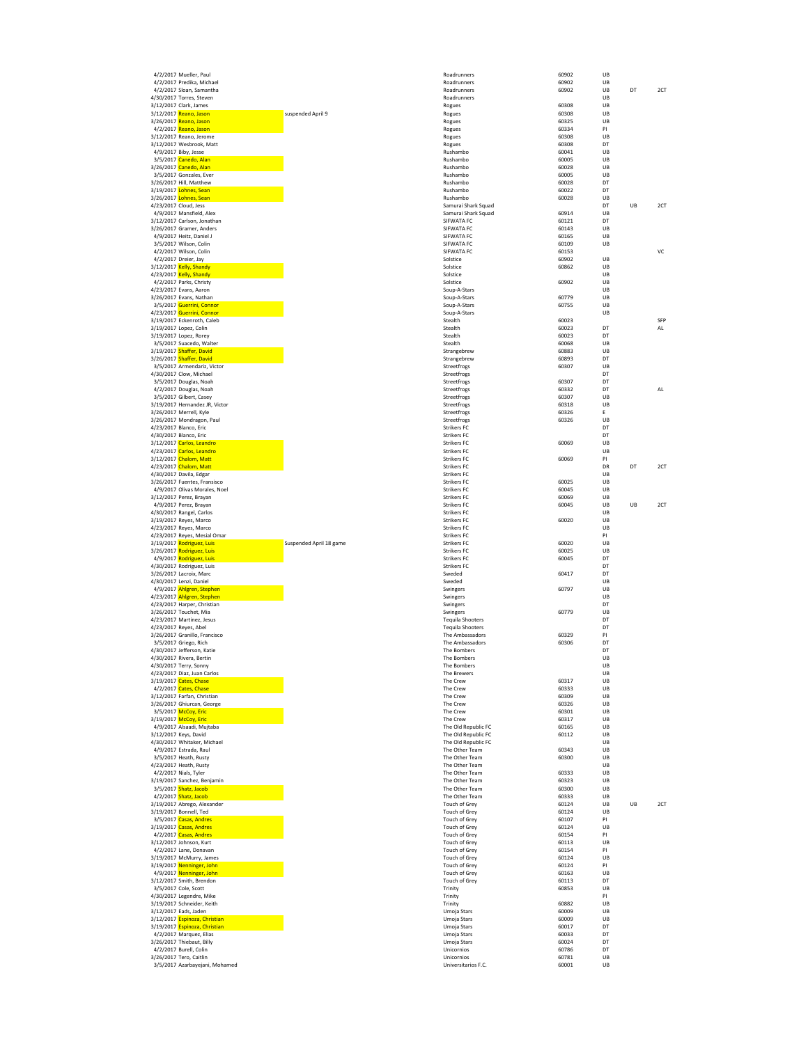| 4/2/2017 Predika, Michael                                                  |                    |
|----------------------------------------------------------------------------|--------------------|
| 4/2/2017 Sloan, Samantha                                                   |                    |
| /30/2017 Torres, Steven                                                    |                    |
| /12/2017 Clark, James<br>/12/2017 <mark>Reano, Jason</mark>                | suspended April 9  |
| /26/2017 <mark>Reano, Jason</mark>                                         |                    |
| 4/2/2017 Reano, Jason<br>/12/2017 Reano, Jerome                            |                    |
| /12/2017 Wesbrook, Matt                                                    |                    |
| 4/9/2017 Biby, Jesse                                                       |                    |
| 3/5/2017 Canedo, Alan<br>/26/2017 <mark>Canedo, Alan</mark>                |                    |
| 3/5/2017 Gonzales, Ever                                                    |                    |
| /26/2017 Hill, Matthew<br>/19/2017 <mark>Lohnes, Sean</mark>               |                    |
| /26/2017 <mark>Lohnes, Sean</mark>                                         |                    |
| /23/2017 Cloud, Jess                                                       |                    |
| 4/9/2017 Mansfield, Alex<br>/12/2017 Carlson, Jonathan                     |                    |
| /26/2017 Gramer, Anders                                                    |                    |
| 4/9/2017 Heitz, Daniel J                                                   |                    |
| 3/5/2017 Wilson, Colin<br>4/2/2017 Wilson, Colin                           |                    |
| 4/2/2017 Dreier, Jay                                                       |                    |
| /12/2017 <mark>Kelly, Shandy</mark><br>/23/2017 <mark>Kelly, Shandy</mark> |                    |
| 4/2/2017 Parks, Christy                                                    |                    |
| /23/2017 Evans, Aaron                                                      |                    |
| /26/2017 Evans, Nathan<br>3/5/2017 Guerrini, Connor                        |                    |
| /23/2017 <mark>Guerrini, Connor</mark>                                     |                    |
| /19/2017 Eckenroth, Caleb                                                  |                    |
| /19/2017 Lopez, Colin<br>/19/2017 Lopez, Rorey                             |                    |
| 3/5/2017 Suacedo, Walter                                                   |                    |
| /19/2017 <mark>Shaffer, David</mark>                                       |                    |
| /26/2017 <mark>Shaffer, David<br/>3/5/2017 Armendariz, Victor</mark>       |                    |
| /30/2017 Clow, Michael                                                     |                    |
| 3/5/2017 Douglas, Noah<br>4/2/2017 Douglas, Noah                           |                    |
| 3/5/2017 Gilbert, Casey                                                    |                    |
| /19/2017 Hernandez JR, Victor                                              |                    |
| /26/2017 Merrell, Kyle<br>/26/2017 Mondragon, Paul                         |                    |
| /23/2017 Blanco, Eric                                                      |                    |
| /30/2017 Blanco, Eric<br>/12/2017 <mark>Carlos, Leandro</mark>             |                    |
| /23/2017 <mark>Carlos, Leandro</mark>                                      |                    |
| /12/2017 Chalom, Matt                                                      |                    |
| /23/2017 <mark>Chalom, Matt</mark><br>/30/2017 Davila, Edgar               |                    |
| /26/2017 Fuentes, Fransisco                                                |                    |
| 4/9/2017 Olivas Morales, Noel<br>/12/2017 Perez, Brayan                    |                    |
| 4/9/2017 Perez, Brayan                                                     |                    |
| /30/2017 Rangel, Carlos                                                    |                    |
|                                                                            |                    |
| /19/2017 Reyes, Marco                                                      |                    |
| /23/2017 Reyes, Marco<br>/23/2017 Reyes, Mesial Omar                       |                    |
| /19/2017 <mark>Rodriguez, Luis</mark>                                      | Suspended April 18 |
| /26/2017 <mark>Rodriguez, Luis</mark><br>4/9/2017 Rodriguez, Luis          |                    |
| /30/2017 Rodriguez, Luis                                                   |                    |
| /26/2017 Lacroix, Marc                                                     |                    |
| /30/2017 Lenzi, Daniel<br>4/9/2017 Ahlgren, Stephen                        |                    |
| /23/2017 <mark>Ahlgren, Stephen</mark>                                     |                    |
| /23/2017 Harper, Christian                                                 |                    |
| /26/2017 Touchet, Mia<br>/23/2017 Martinez, Jesus                          |                    |
| /23/2017 Reyes, Abel                                                       |                    |
| /26/2017 Granillo, Francisco<br>3/5/2017 Griego, Rich                      |                    |
| /30/2017 Jefferson, Katie                                                  |                    |
| /30/2017 Rivera, Bertin                                                    |                    |
| /30/2017 Terry, Sonny<br>/23/2017 Diaz, Juan Carlos                        |                    |
| /19/2017 Cates, Chase                                                      |                    |
| 4/2/2017 Cates, Chase<br>/12/2017 Farfan, Christian                        |                    |
| /26/2017 Ghiurcan, George                                                  |                    |
| 3/5/2017 McCoy, Eric<br>/19/2017 <mark>McCoy, Eric</mark>                  |                    |
| 4/9/2017 Alsaadi, Mujtaba                                                  |                    |
| /12/2017 Keys, David                                                       |                    |
| /30/2017 Whitaker, Michael<br>4/9/2017 Estrada, Raul                       |                    |
| 3/5/2017 Heath, Rusty                                                      |                    |
| /23/2017 Heath, Rusty                                                      |                    |
| 4/2/2017 Nials, Tyler<br>/19/2017 Sanchez, Benjamin                        |                    |
| 3/5/2017 Shatz, Jacob                                                      |                    |
| 4/2/2017 Shatz, Jacob<br>/19/2017 Abrego, Alexander                        |                    |
| /19/2017 Bonnell, Ted                                                      |                    |
| 3/5/2017 Casas, Andres<br>/19/2017 <mark>Casas, Andres</mark>              |                    |
| 4/2/2017 Casas, Andres                                                     |                    |
| /12/2017 Johnson, Kurt                                                     |                    |
| 4/2/2017 Lane, Donavan<br>/19/2017 McMurry, James                          |                    |
| /19/2017 Nenninger, John                                                   |                    |
| 4/9/2017 Nenninger, John                                                   |                    |
| /12/2017 Smith, Brendon<br>3/5/2017 Cole, Scott                            |                    |
| /30/2017 Legendre, Mike                                                    |                    |
| /19/2017 Schneider, Keith                                                  |                    |
| /12/2017 Eads, Jaden<br>/12/2017 <b>Espinoza, Christian</b>                |                    |
| /19/2017 <b>Espinoza, Christian</b>                                        |                    |
| 4/2/2017 Marquez, Elias<br>/26/2017 Thiebaut, Billy                        |                    |
| 4/2/2017 Burell, Colin                                                     |                    |
| /26/2017 Tero, Caitlin<br>3/5/2017 Azarbayejani, Mohamed                   |                    |

| 4/2/2017 Mueller, Paul                                                              |                         | Roadrunners                                    | 60902                   | UB             |    |           |
|-------------------------------------------------------------------------------------|-------------------------|------------------------------------------------|-------------------------|----------------|----|-----------|
| 4/2/2017 Predika, Michael                                                           |                         | Roadrunners                                    | 60902                   | UB             |    |           |
| 4/2/2017 Sloan, Samantha<br>4/30/2017 Torres, Steven                                |                         | Roadrunners<br>Roadrunners                     | 60902                   | UB<br>UB       | DT | 2CT       |
| 3/12/2017 Clark, James                                                              |                         | Rogues                                         | 60308                   | UB             |    |           |
| 3/12/2017 Reano, Jason<br>3/26/2017 Reano, Jason                                    | suspended April 9       | Rogues                                         | 60308<br>60325          | UB<br>UB       |    |           |
| 4/2/2017 Reano, Jason                                                               |                         | Rogues<br>Rogues                               | 60334                   | PI             |    |           |
| 3/12/2017 Reano, Jerome                                                             |                         | Rogues                                         | 60308                   | UB             |    |           |
| 3/12/2017 Wesbrook, Matt<br>4/9/2017 Biby, Jesse                                    |                         | Rogues<br>Rushambo                             | 60308<br>60041          | DT<br>UB       |    |           |
| 3/5/2017 Canedo, Alan                                                               |                         | Rushambo                                       | 60005                   | UB             |    |           |
| 3/26/2017 <mark>Canedo, Alan</mark>                                                 |                         | Rushambo                                       | 60028                   | UB             |    |           |
| 3/5/2017 Gonzales, Ever<br>3/26/2017 Hill, Matthew                                  |                         | Rushambo<br>Rushambo                           | 60005<br>60028          | UB<br>DT       |    |           |
| 3/19/2017 <mark>Lohnes, Sean</mark>                                                 |                         | Rushambo                                       | 60022                   | DT             |    |           |
| 3/26/2017 <mark>Lohnes, Sean</mark>                                                 |                         | Rushambo                                       | 60028                   | UB             |    |           |
| 4/23/2017 Cloud, Jess<br>4/9/2017 Mansfield, Alex                                   |                         | Samurai Shark Squad<br>Samurai Shark Squad     | 60914                   | DT<br>UB       | UB | 2CT       |
| 3/12/2017 Carlson, Jonathan                                                         |                         | SIFWATA FC                                     | 60121                   | DT             |    |           |
| 3/26/2017 Gramer, Anders<br>4/9/2017 Heitz, Daniel J                                |                         | SIFWATA FC<br>SIFWATA FC                       | 60143                   | UB             |    |           |
| 3/5/2017 Wilson, Colin                                                              |                         | SIFWATA FC                                     | 60165<br>60109          | UB<br>UB       |    |           |
| 4/2/2017 Wilson, Colin                                                              |                         | SIFWATA FC                                     | 60153                   |                |    | VC        |
| 4/2/2017 Dreier, Jay<br>3/12/2017 <mark>Kelly, Shandy</mark>                        |                         | Solstice<br>Solstice                           | 60902<br>60862          | UB<br>UB       |    |           |
| 4/23/2017 <mark>Kelly, Shandy</mark>                                                |                         | Solstice                                       |                         | UB             |    |           |
| 4/2/2017 Parks, Christy                                                             |                         | Solstice                                       | 60902                   | UB             |    |           |
| 4/23/2017 Evans, Aaron<br>3/26/2017 Evans, Nathan                                   |                         | Soup-A-Stars<br>Soup-A-Stars                   | 60779                   | UB<br>UB       |    |           |
| 3/5/2017 Guerrini, Connor                                                           |                         | Soup-A-Stars                                   | 60755                   | UB             |    |           |
| 4/23/2017 <mark>Guerrini, Connor</mark>                                             |                         | Soup-A-Stars                                   |                         | UB             |    |           |
| 3/19/2017 Eckenroth, Caleb<br>3/19/2017 Lopez, Colin                                |                         | Stealth<br>Stealth                             | 60023<br>60023          | DT             |    | SFP<br>AL |
| 3/19/2017 Lopez, Rorey                                                              |                         | Stealth                                        | 60023                   | DT             |    |           |
| 3/5/2017 Suacedo, Walter<br>3/19/2017 Shaffer, David                                |                         | Stealth<br>Strangebrew                         | 60068<br>60883          | UB<br>UB       |    |           |
| 3/26/2017 Shaffer, David                                                            |                         | Strangebrew                                    | 60893                   | DT             |    |           |
| 3/5/2017 Armendariz, Victor                                                         |                         | Streetfrogs                                    | 60307                   | UB             |    |           |
| 4/30/2017 Clow, Michael<br>3/5/2017 Douglas, Noah                                   |                         | Streetfrogs<br>Streetfrogs                     | 60307                   | DT<br>DT       |    |           |
| 4/2/2017 Douglas, Noah                                                              |                         | Streetfrogs                                    | 60332                   | DT             |    | AL        |
| 3/5/2017 Gilbert, Casey                                                             |                         | Streetfrogs                                    | 60307                   | UB<br>UB       |    |           |
| 3/19/2017 Hernandez JR, Victor<br>3/26/2017 Merrell, Kyle                           |                         | Streetfrogs<br>Streetfrogs                     | 60318<br>60326          | E              |    |           |
| 3/26/2017 Mondragon, Paul                                                           |                         | Streetfrogs                                    | 60326                   | UB             |    |           |
| 4/23/2017 Blanco, Eric<br>4/30/2017 Blanco, Eric                                    |                         | <b>Strikers FC</b><br><b>Strikers FC</b>       |                         | DT<br>DT       |    |           |
| 3/12/2017 <mark>Carlos, Leandro</mark>                                              |                         | <b>Strikers FC</b>                             | 60069                   | UB             |    |           |
| 4/23/2017 Carlos, Leandro                                                           |                         | <b>Strikers FC</b>                             |                         | UB             |    |           |
| 3/12/2017 <mark>Chalom, Matt</mark><br>4/23/2017 <mark>Chalom, Matt</mark>          |                         | <b>Strikers FC</b><br><b>Strikers FC</b>       | 60069                   | PI<br>DR       | DT | 2CT       |
| 4/30/2017 Davila, Edgar                                                             |                         | <b>Strikers FC</b>                             |                         | UB             |    |           |
| 3/26/2017 Fuentes, Fransisco<br>4/9/2017 Olivas Morales, Noel                       |                         | <b>Strikers FC</b><br><b>Strikers FC</b>       | 60025<br>60045          | UB<br>UB       |    |           |
| 3/12/2017 Perez, Brayan                                                             |                         | <b>Strikers FC</b>                             | 60069                   | UB             |    |           |
| 4/9/2017 Perez, Brayan                                                              |                         | <b>Strikers FC</b>                             | 60045                   | UB             | UB | 2CT       |
| 4/30/2017 Rangel, Carlos                                                            |                         | <b>Strikers FC</b>                             |                         | UB             |    |           |
|                                                                                     |                         | <b>Strikers FC</b>                             |                         | UB             |    |           |
| 3/19/2017 Reyes, Marco<br>4/23/2017 Reyes, Marco                                    |                         | <b>Strikers FC</b>                             | 60020                   | UB             |    |           |
| 4/23/2017 Reyes, Mesial Omar                                                        |                         | <b>Strikers FC</b>                             |                         | PI             |    |           |
| 3/19/2017 Rodriguez, Luis<br>3/26/2017 Rodriguez, Luis                              | Suspended April 18 game | <b>Strikers FC</b><br><b>Strikers FC</b>       | 60020<br>60025          | UB<br>UB       |    |           |
| 4/9/2017 Rodriguez, Luis                                                            |                         | <b>Strikers FC</b>                             | 60045                   | DT             |    |           |
| 4/30/2017 Rodriguez, Luis<br>3/26/2017 Lacroix, Marc                                |                         | <b>Strikers FC</b><br>Sweded                   | 60417                   | DT<br>DT       |    |           |
| 4/30/2017 Lenzi, Daniel                                                             |                         | Sweded                                         |                         | UB             |    |           |
| 4/9/2017 Ahlgren, Stephen                                                           |                         | Swingers                                       | 60797                   | UB             |    |           |
| 4/23/2017 <mark>Ahlgren, Stephen</mark><br>4/23/2017 Harper, Christian              |                         | Swingers<br>Swingers                           |                         | UB<br>DT       |    |           |
| 3/26/2017 Touchet, Mia                                                              |                         | Swingers                                       | 60779                   | UB             |    |           |
| 4/23/2017 Martinez, Jesus<br>4/23/2017 Reyes, Abel                                  |                         | <b>Tequila Shooters</b>                        |                         | DT<br>DT       |    |           |
| 3/26/2017 Granillo, Francisco                                                       |                         | <b>Tequila Shooters</b><br>The Ambassadors     | 60329                   | PI             |    |           |
| 3/5/2017 Griego, Rich                                                               |                         | The Ambassadors                                | 60306                   | DT             |    |           |
| 4/30/2017 Jefferson, Katie<br>4/30/2017 Rivera, Bertin                              |                         | The Bombers<br>The Bombers                     |                         | DT<br>UB       |    |           |
| 4/30/2017 Terry, Sonny                                                              |                         | The Bombers                                    |                         | UB             |    |           |
| 4/23/2017 Diaz, Juan Carlos                                                         |                         | <b>The Brewers</b>                             |                         | UB             |    |           |
| 3/19/2017 <mark>Cates, Chase</mark><br>4/2/2017 Cates, Chase                        |                         | The Crew<br>The Crew                           | 60317<br>60333          | UB<br>UB       |    |           |
| 3/12/2017 Farfan, Christian                                                         |                         | The Crew                                       | 60309                   | UB             |    |           |
| 3/26/2017 Ghiurcan, George<br>3/5/2017 McCoy, Eric                                  |                         | The Crew<br>The Crew                           | 60326<br>60301          | UB<br>UB       |    |           |
| 3/19/2017 <mark>McCoy, Eric</mark>                                                  |                         | The Crew                                       | 60317                   | UB             |    |           |
| 4/9/2017 Alsaadi, Mujtaba<br>3/12/2017 Keys, David                                  |                         | The Old Republic FC<br>The Old Republic FC     | 60165<br>60112          | UB<br>UB       |    |           |
| 4/30/2017 Whitaker, Michael                                                         |                         | The Old Republic FC                            |                         | UB             |    |           |
| 4/9/2017 Estrada, Raul                                                              |                         | The Other Team                                 | 60343                   | UB             |    |           |
| 3/5/2017 Heath, Rusty<br>4/23/2017 Heath, Rusty                                     |                         | The Other Team<br>The Other Team               | 60300                   | UB<br>UB       |    |           |
| 4/2/2017 Nials, Tyler                                                               |                         | The Other Team                                 | 60333                   | UB             |    |           |
| 3/19/2017 Sanchez, Benjamin                                                         |                         | The Other Team                                 | 60323                   | UB<br>UB       |    |           |
| 3/5/2017 Shatz, Jacob<br>4/2/2017 Shatz, Jacob                                      |                         | The Other Team<br>The Other Team               | 60300<br>60333          | UB             |    |           |
| 3/19/2017 Abrego, Alexander                                                         |                         | Touch of Grey                                  | 60124                   | UB             | UB | 2CT       |
| 3/19/2017 Bonnell, Ted<br>3/5/2017 Casas, Andres                                    |                         | <b>Touch of Grey</b><br><b>Touch of Grey</b>   | 60124<br>60107          | UB<br>PI       |    |           |
| 3/19/2017 <mark>Casas, Andres</mark>                                                |                         | <b>Touch of Grey</b>                           | 60124                   | UB             |    |           |
| 4/2/2017 Casas, Andres                                                              |                         | Touch of Grey                                  | 60154                   | PI<br>UB       |    |           |
| 3/12/2017 Johnson, Kurt<br>4/2/2017 Lane, Donavan                                   |                         | <b>Touch of Grey</b><br><b>Touch of Grey</b>   | 60113<br>60154          | PI             |    |           |
| 3/19/2017 McMurry, James                                                            |                         | <b>Touch of Grey</b>                           | 60124                   | UB             |    |           |
| 3/19/2017 <mark>Nenninger, John</mark><br>4/9/2017 Nenninger, John                  |                         | Touch of Grey<br>Touch of Grey                 | 60124<br>60163          | PI<br>UB       |    |           |
| 3/12/2017 Smith, Brendon                                                            |                         | <b>Touch of Grey</b>                           | 60113                   | DT             |    |           |
| 3/5/2017 Cole, Scott                                                                |                         | Trinity                                        | 60853                   | UB             |    |           |
| 4/30/2017 Legendre, Mike<br>3/19/2017 Schneider, Keith                              |                         | Trinity<br>Trinity                             | 60882                   | PI<br>UB       |    |           |
| 3/12/2017 Eads, Jaden                                                               |                         | Umoja Stars                                    | 60009                   | UB             |    |           |
| 3/12/2017 Espinoza, Christian<br>3/19/2017 Espinoza, Christian                      |                         | Umoja Stars<br>Umoja Stars                     | 60009<br>60017          | UB<br>DT       |    |           |
| 4/2/2017 Marquez, Elias                                                             |                         | Umoja Stars                                    | 60033                   | DT             |    |           |
| 3/26/2017 Thiebaut, Billy                                                           |                         | Umoja Stars                                    | 60024                   | DT             |    |           |
| 4/2/2017 Burell, Colin<br>3/26/2017 Tero, Caitlin<br>3/5/2017 Azarbayejani, Mohamed |                         | Unicornios<br>Unicornios<br>Universitarios F.C | 60786<br>60781<br>60001 | DT<br>UB<br>UB |    |           |